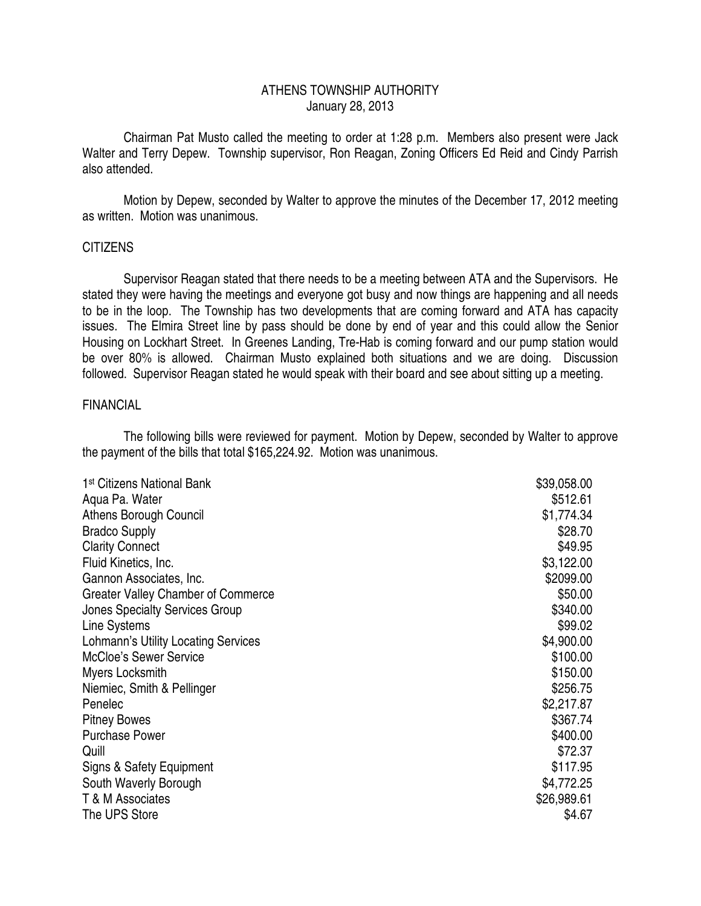## ATHENS TOWNSHIP AUTHORITY January 28, 2013

 Chairman Pat Musto called the meeting to order at 1:28 p.m. Members also present were Jack Walter and Terry Depew. Township supervisor, Ron Reagan, Zoning Officers Ed Reid and Cindy Parrish also attended.

 Motion by Depew, seconded by Walter to approve the minutes of the December 17, 2012 meeting as written. Motion was unanimous.

#### **CITIZENS**

 Supervisor Reagan stated that there needs to be a meeting between ATA and the Supervisors. He stated they were having the meetings and everyone got busy and now things are happening and all needs to be in the loop. The Township has two developments that are coming forward and ATA has capacity issues. The Elmira Street line by pass should be done by end of year and this could allow the Senior Housing on Lockhart Street. In Greenes Landing, Tre-Hab is coming forward and our pump station would be over 80% is allowed. Chairman Musto explained both situations and we are doing. Discussion followed. Supervisor Reagan stated he would speak with their board and see about sitting up a meeting.

#### FINANCIAL

 The following bills were reviewed for payment. Motion by Depew, seconded by Walter to approve the payment of the bills that total \$165,224.92. Motion was unanimous.

| 1 <sup>st</sup> Citizens National Bank | \$39,058.00 |
|----------------------------------------|-------------|
| Aqua Pa. Water                         | \$512.61    |
| Athens Borough Council                 | \$1,774.34  |
| <b>Bradco Supply</b>                   | \$28.70     |
| <b>Clarity Connect</b>                 | \$49.95     |
| Fluid Kinetics, Inc.                   | \$3,122.00  |
| Gannon Associates, Inc.                | \$2099.00   |
| Greater Valley Chamber of Commerce     | \$50.00     |
| <b>Jones Specialty Services Group</b>  | \$340.00    |
| Line Systems                           | \$99.02     |
| Lohmann's Utility Locating Services    | \$4,900.00  |
| <b>McCloe's Sewer Service</b>          | \$100.00    |
| Myers Locksmith                        | \$150.00    |
| Niemiec, Smith & Pellinger             | \$256.75    |
| Penelec                                | \$2,217.87  |
| <b>Pitney Bowes</b>                    | \$367.74    |
| <b>Purchase Power</b>                  | \$400.00    |
| Quill                                  | \$72.37     |
| Signs & Safety Equipment               | \$117.95    |
| South Waverly Borough                  | \$4,772.25  |
| T & M Associates                       | \$26,989.61 |
| The UPS Store                          | \$4.67      |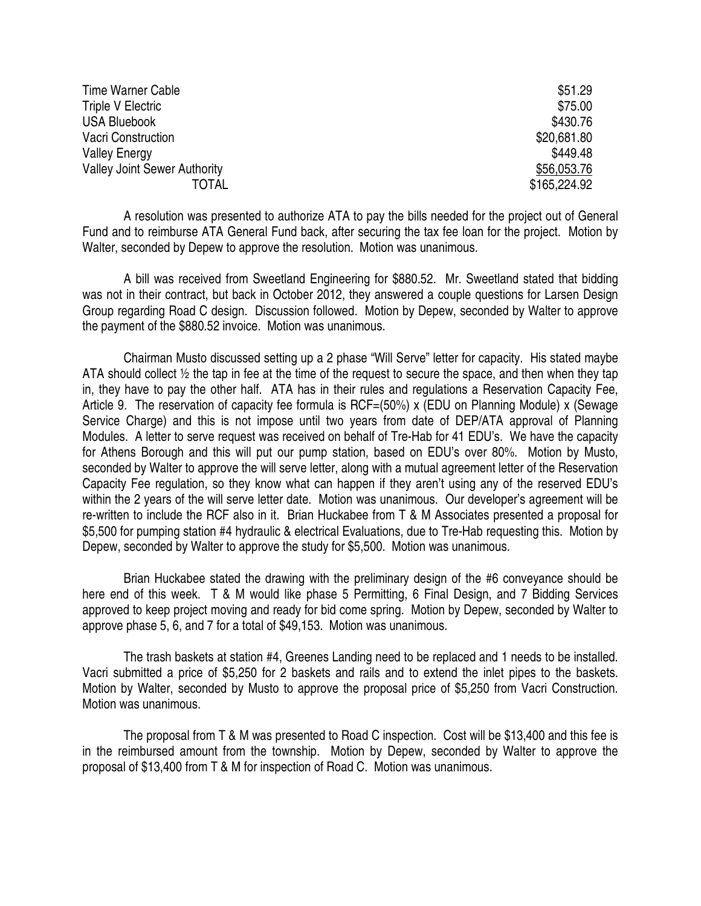| Time Warner Cable                   | \$51.29      |
|-------------------------------------|--------------|
| Triple V Electric                   | \$75.00      |
| <b>USA Bluebook</b>                 | \$430.76     |
| <b>Vacri Construction</b>           | \$20,681.80  |
| <b>Valley Energy</b>                | \$449.48     |
| <b>Valley Joint Sewer Authority</b> | \$56,053.76  |
| TOTAL                               | \$165,224.92 |

 A resolution was presented to authorize ATA to pay the bills needed for the project out of General Fund and to reimburse ATA General Fund back, after securing the tax fee loan for the project. Motion by Walter, seconded by Depew to approve the resolution. Motion was unanimous.

 A bill was received from Sweetland Engineering for \$880.52. Mr. Sweetland stated that bidding was not in their contract, but back in October 2012, they answered a couple questions for Larsen Design Group regarding Road C design. Discussion followed. Motion by Depew, seconded by Walter to approve the payment of the \$880.52 invoice. Motion was unanimous.

 Chairman Musto discussed setting up a 2 phase "Will Serve" letter for capacity. His stated maybe ATA should collect ½ the tap in fee at the time of the request to secure the space, and then when they tap in, they have to pay the other half. ATA has in their rules and regulations a Reservation Capacity Fee, Article 9. The reservation of capacity fee formula is RCF=(50%) x (EDU on Planning Module) x (Sewage Service Charge) and this is not impose until two years from date of DEP/ATA approval of Planning Modules. A letter to serve request was received on behalf of Tre-Hab for 41 EDU's. We have the capacity for Athens Borough and this will put our pump station, based on EDU's over 80%. Motion by Musto, seconded by Walter to approve the will serve letter, along with a mutual agreement letter of the Reservation Capacity Fee regulation, so they know what can happen if they aren't using any of the reserved EDU's within the 2 years of the will serve letter date. Motion was unanimous. Our developer's agreement will be re-written to include the RCF also in it. Brian Huckabee from T & M Associates presented a proposal for \$5,500 for pumping station #4 hydraulic & electrical Evaluations, due to Tre-Hab requesting this. Motion by Depew, seconded by Walter to approve the study for \$5,500. Motion was unanimous.

 Brian Huckabee stated the drawing with the preliminary design of the #6 conveyance should be here end of this week. T & M would like phase 5 Permitting, 6 Final Design, and 7 Bidding Services approved to keep project moving and ready for bid come spring. Motion by Depew, seconded by Walter to approve phase 5, 6, and 7 for a total of \$49,153. Motion was unanimous.

 The trash baskets at station #4, Greenes Landing need to be replaced and 1 needs to be installed. Vacri submitted a price of \$5,250 for 2 baskets and rails and to extend the inlet pipes to the baskets. Motion by Walter, seconded by Musto to approve the proposal price of \$5,250 from Vacri Construction. Motion was unanimous.

 The proposal from T & M was presented to Road C inspection. Cost will be \$13,400 and this fee is in the reimbursed amount from the township. Motion by Depew, seconded by Walter to approve the proposal of \$13,400 from T & M for inspection of Road C. Motion was unanimous.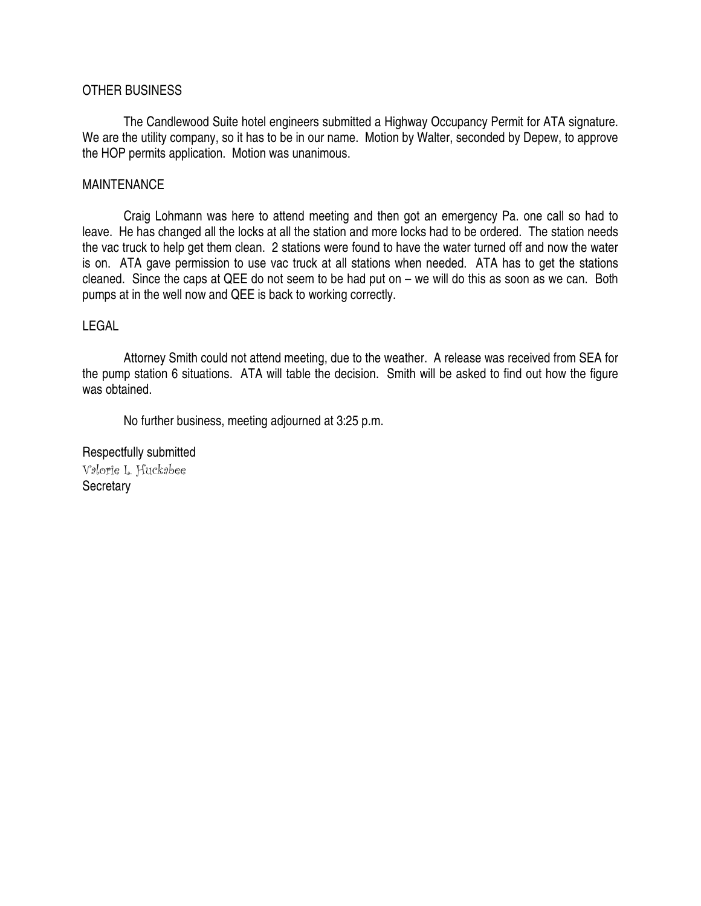## OTHER BUSINESS

 The Candlewood Suite hotel engineers submitted a Highway Occupancy Permit for ATA signature. We are the utility company, so it has to be in our name. Motion by Walter, seconded by Depew, to approve the HOP permits application. Motion was unanimous.

#### MAINTENANCE

 Craig Lohmann was here to attend meeting and then got an emergency Pa. one call so had to leave. He has changed all the locks at all the station and more locks had to be ordered. The station needs the vac truck to help get them clean. 2 stations were found to have the water turned off and now the water is on. ATA gave permission to use vac truck at all stations when needed. ATA has to get the stations cleaned. Since the caps at QEE do not seem to be had put on – we will do this as soon as we can. Both pumps at in the well now and QEE is back to working correctly.

#### LEGAL

 Attorney Smith could not attend meeting, due to the weather. A release was received from SEA for the pump station 6 situations. ATA will table the decision. Smith will be asked to find out how the figure was obtained.

No further business, meeting adjourned at 3:25 p.m.

Respectfully submitted Valorie L. Huckabee **Secretary**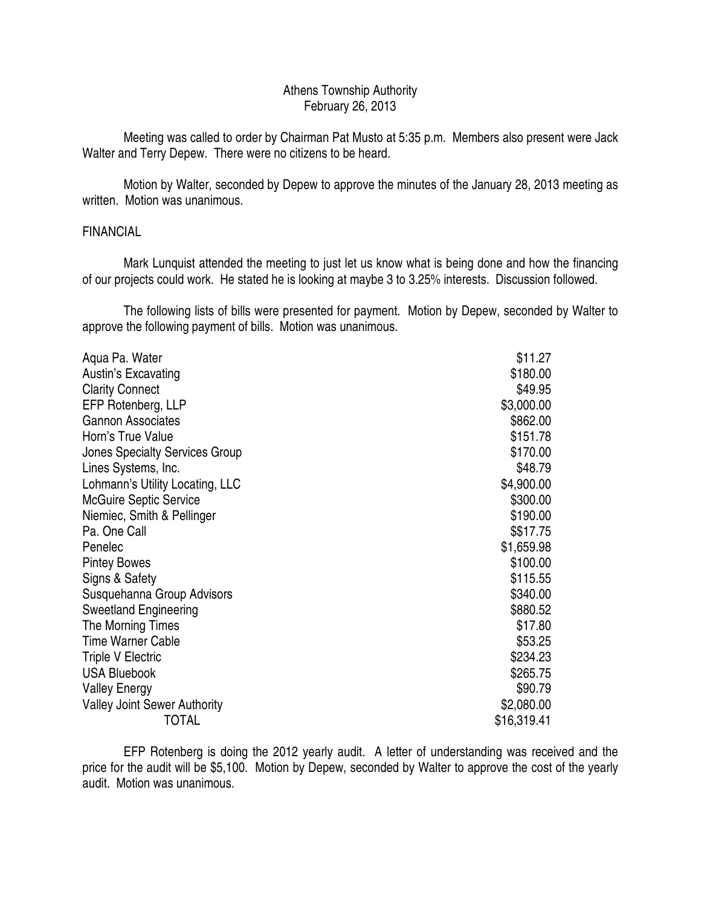## Athens Township Authority February 26, 2013

 Meeting was called to order by Chairman Pat Musto at 5:35 p.m. Members also present were Jack Walter and Terry Depew. There were no citizens to be heard.

 Motion by Walter, seconded by Depew to approve the minutes of the January 28, 2013 meeting as written. Motion was unanimous.

#### FINANCIAL

 Mark Lunquist attended the meeting to just let us know what is being done and how the financing of our projects could work. He stated he is looking at maybe 3 to 3.25% interests. Discussion followed.

 The following lists of bills were presented for payment. Motion by Depew, seconded by Walter to approve the following payment of bills. Motion was unanimous.

| Aqua Pa. Water                        | \$11.27     |
|---------------------------------------|-------------|
| Austin's Excavating                   | \$180.00    |
| <b>Clarity Connect</b>                | \$49.95     |
| EFP Rotenberg, LLP                    | \$3,000.00  |
| <b>Gannon Associates</b>              | \$862.00    |
| Horn's True Value                     | \$151.78    |
| <b>Jones Specialty Services Group</b> | \$170.00    |
| Lines Systems, Inc.                   | \$48.79     |
| Lohmann's Utility Locating, LLC       | \$4,900.00  |
| <b>McGuire Septic Service</b>         | \$300.00    |
| Niemiec, Smith & Pellinger            | \$190.00    |
| Pa. One Call                          | \$\$17.75   |
| Penelec                               | \$1,659.98  |
| <b>Pintey Bowes</b>                   | \$100.00    |
| Signs & Safety                        | \$115.55    |
| Susquehanna Group Advisors            | \$340.00    |
| <b>Sweetland Engineering</b>          | \$880.52    |
| The Morning Times                     | \$17.80     |
| <b>Time Warner Cable</b>              | \$53.25     |
| <b>Triple V Electric</b>              | \$234.23    |
| <b>USA Bluebook</b>                   | \$265.75    |
| <b>Valley Energy</b>                  | \$90.79     |
| <b>Valley Joint Sewer Authority</b>   | \$2,080.00  |
| <b>TOTAL</b>                          | \$16,319.41 |

 EFP Rotenberg is doing the 2012 yearly audit. A letter of understanding was received and the price for the audit will be \$5,100. Motion by Depew, seconded by Walter to approve the cost of the yearly audit. Motion was unanimous.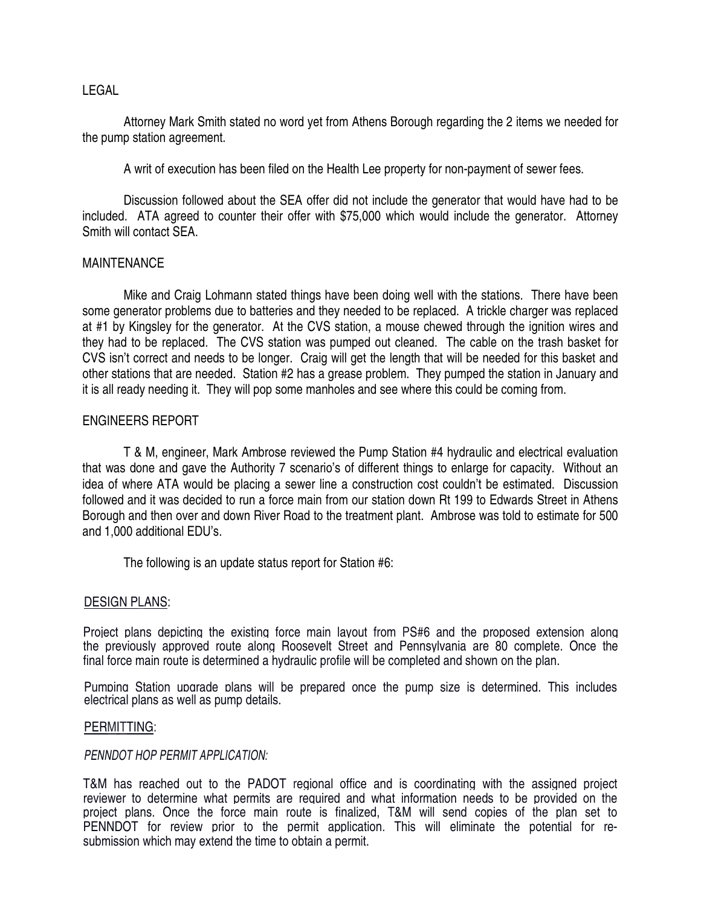## LEGAL

 Attorney Mark Smith stated no word yet from Athens Borough regarding the 2 items we needed for the pump station agreement.

A writ of execution has been filed on the Health Lee property for non-payment of sewer fees.

 Discussion followed about the SEA offer did not include the generator that would have had to be included. ATA agreed to counter their offer with \$75,000 which would include the generator. Attorney Smith will contact SEA.

#### MAINTENANCE

 Mike and Craig Lohmann stated things have been doing well with the stations. There have been some generator problems due to batteries and they needed to be replaced. A trickle charger was replaced at #1 by Kingsley for the generator. At the CVS station, a mouse chewed through the ignition wires and they had to be replaced. The CVS station was pumped out cleaned. The cable on the trash basket for CVS isn't correct and needs to be longer. Craig will get the length that will be needed for this basket and other stations that are needed. Station #2 has a grease problem. They pumped the station in January and it is all ready needing it. They will pop some manholes and see where this could be coming from.

#### ENGINEERS REPORT

 T & M, engineer, Mark Ambrose reviewed the Pump Station #4 hydraulic and electrical evaluation that was done and gave the Authority 7 scenario's of different things to enlarge for capacity. Without an idea of where ATA would be placing a sewer line a construction cost couldn't be estimated. Discussion followed and it was decided to run a force main from our station down Rt 199 to Edwards Street in Athens Borough and then over and down River Road to the treatment plant. Ambrose was told to estimate for 500 and 1,000 additional EDU's.

The following is an update status report for Station #6:

#### DESIGN PLANS:

Project plans depicting the existing force main layout from PS#6 and the proposed extension along the previously approved route along Roosevelt Street and Pennsylvania are 80 complete. Once the final force main route is determined a hydraulic profile will be completed and shown on the plan.

Pumping Station upgrade plans will be prepared once the pump size is determined. This includes electrical plans as well as pump details.

#### PERMITTING:

#### PENNDOT HOP PERMIT APPLICATION:

T&M has reached out to the PADOT regional office and is coordinating with the assigned project reviewer to determine what permits are required and what information needs to be provided on the project plans. Once the force main route is finalized, T&M will send copies of the plan set to PENNDOT for review prior to the permit application. This will eliminate the potential for resubmission which may extend the time to obtain a permit.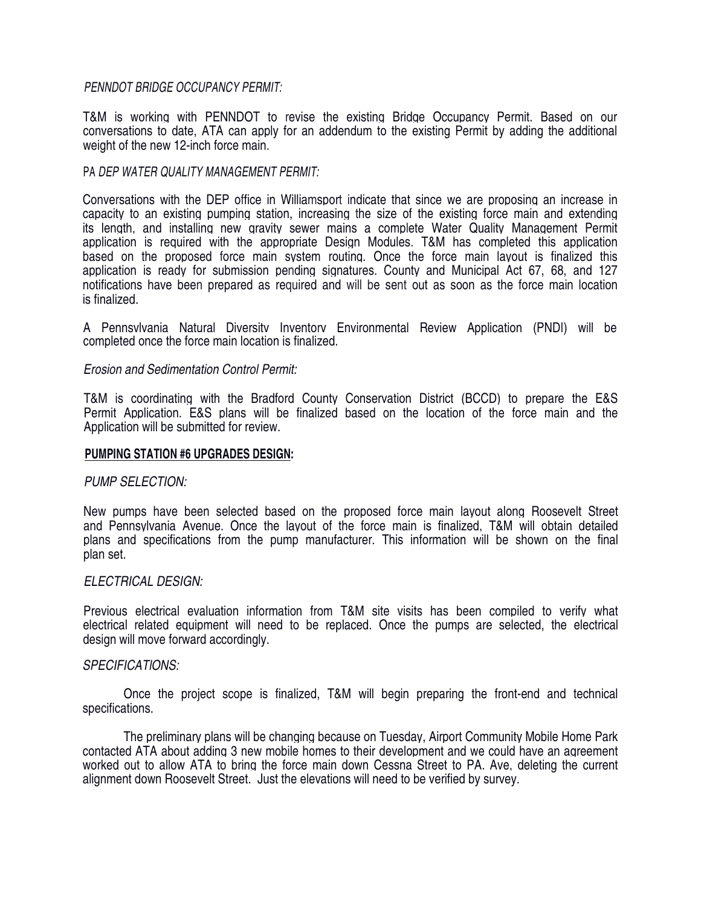#### PENNDOT BRIDGE OCCUPANCY PERMIT:

T&M is working with PENNDOT to revise the existing Bridge Occupancy Permit. Based on our conversations to date, ATA can apply for an addendum to the existing Permit by adding the additional weight of the new 12-inch force main.

#### PA DEP WATER QUALITY MANAGEMENT PERMIT:

Conversations with the DEP office in Williamsport indicate that since we are proposing an increase in capacity to an existing pumping station, increasing the size of the existing force main and extending its length, and installing new gravity sewer mains a complete Water Quality Management Permit application is required with the appropriate Design Modules. T&M has completed this application based on the proposed force main system routing. Once the force main layout is finalized this application is ready for submission pending signatures. County and Municipal Act 67, 68, and 127 notifications have been prepared as required and will be sent out as soon as the force main location is finalized.

A Pennsylvania Natural Diversity Inventory Environmental Review Application (PNDI) will be completed once the force main location is finalized.

#### Erosion and Sedimentation Control Permit:

T&M is coordinating with the Bradford County Conservation District (BCCD) to prepare the E&S Permit Application. E&S plans will be finalized based on the location of the force main and the Application will be submitted for review.

#### **PUMPING STATION #6 UPGRADES DESIGN:**

#### PUMP SELECTION:

New pumps have been selected based on the proposed force main layout along Roosevelt Street and Pennsylvania Avenue. Once the layout of the force main is finalized, T&M will obtain detailed plans and specifications from the pump manufacturer. This information will be shown on the final plan set.

#### ELECTRICAL DESIGN:

Previous electrical evaluation information from T&M site visits has been compiled to verify what electrical related equipment will need to be replaced. Once the pumps are selected, the electrical design will move forward accordingly.

#### SPECIFICATlONS:

Once the project scope is finalized, T&M will begin preparing the front-end and technical specifications.

The preliminary plans will be changing because on Tuesday, Airport Community Mobile Home Park contacted ATA about adding 3 new mobile homes to their development and we could have an agreement worked out to allow ATA to bring the force main down Cessna Street to PA. Ave, deleting the current alignment down Roosevelt Street. Just the elevations will need to be verified by survey.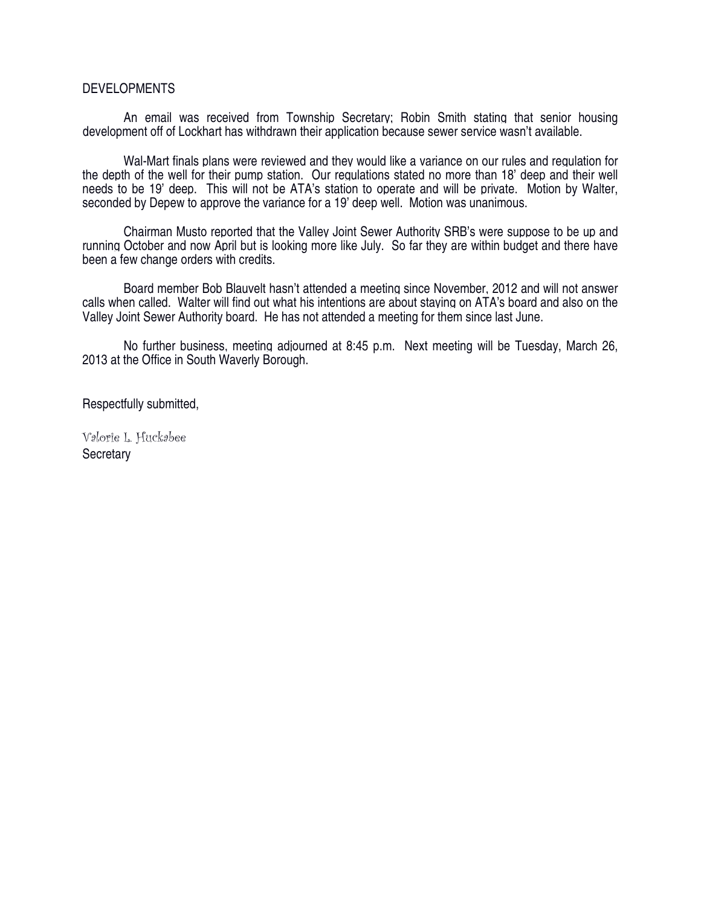#### DEVELOPMENTS

 An email was received from Township Secretary; Robin Smith stating that senior housing development off of Lockhart has withdrawn their application because sewer service wasn't available.

 Wal-Mart finals plans were reviewed and they would like a variance on our rules and regulation for the depth of the well for their pump station. Our regulations stated no more than 18' deep and their well needs to be 19' deep. This will not be ATA's station to operate and will be private. Motion by Walter, seconded by Depew to approve the variance for a 19' deep well. Motion was unanimous.

 Chairman Musto reported that the Valley Joint Sewer Authority SRB's were suppose to be up and running October and now April but is looking more like July. So far they are within budget and there have been a few change orders with credits.

 Board member Bob Blauvelt hasn't attended a meeting since November, 2012 and will not answer calls when called. Walter will find out what his intentions are about staying on ATA's board and also on the Valley Joint Sewer Authority board. He has not attended a meeting for them since last June.

 No further business, meeting adjourned at 8:45 p.m. Next meeting will be Tuesday, March 26, 2013 at the Office in South Waverly Borough.

Respectfully submitted,

Valorie L. Huckabee **Secretary**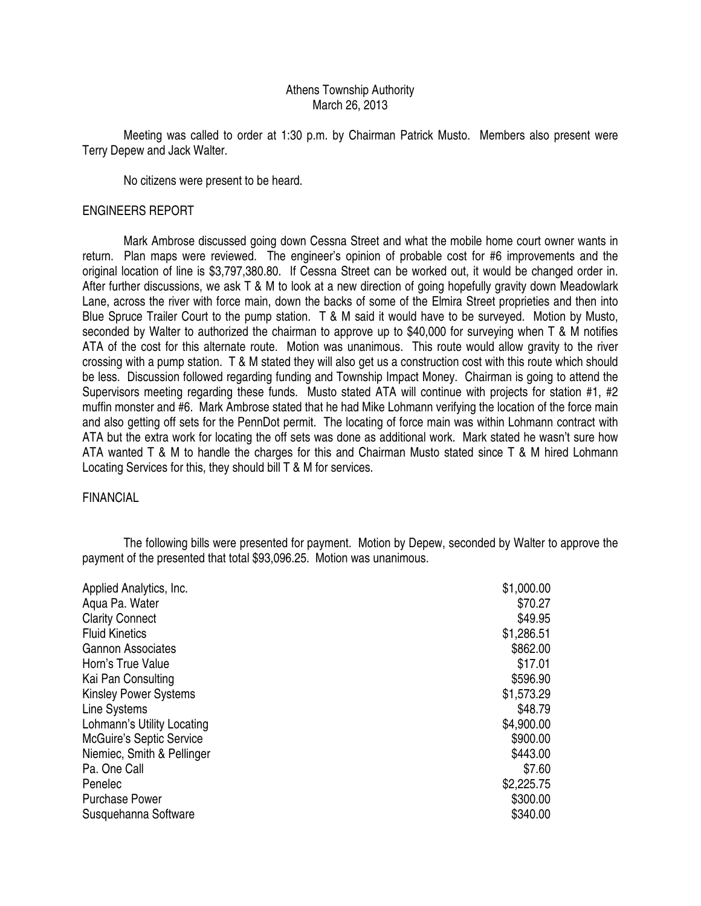#### Athens Township Authority March 26, 2013

 Meeting was called to order at 1:30 p.m. by Chairman Patrick Musto. Members also present were Terry Depew and Jack Walter.

No citizens were present to be heard.

#### ENGINEERS REPORT

 Mark Ambrose discussed going down Cessna Street and what the mobile home court owner wants in return. Plan maps were reviewed. The engineer's opinion of probable cost for #6 improvements and the original location of line is \$3,797,380.80. If Cessna Street can be worked out, it would be changed order in. After further discussions, we ask T & M to look at a new direction of going hopefully gravity down Meadowlark Lane, across the river with force main, down the backs of some of the Elmira Street proprieties and then into Blue Spruce Trailer Court to the pump station. T & M said it would have to be surveyed. Motion by Musto, seconded by Walter to authorized the chairman to approve up to \$40,000 for surveying when T & M notifies ATA of the cost for this alternate route. Motion was unanimous. This route would allow gravity to the river crossing with a pump station. T & M stated they will also get us a construction cost with this route which should be less. Discussion followed regarding funding and Township Impact Money. Chairman is going to attend the Supervisors meeting regarding these funds. Musto stated ATA will continue with projects for station #1, #2 muffin monster and #6. Mark Ambrose stated that he had Mike Lohmann verifying the location of the force main and also getting off sets for the PennDot permit. The locating of force main was within Lohmann contract with ATA but the extra work for locating the off sets was done as additional work. Mark stated he wasn't sure how ATA wanted T & M to handle the charges for this and Chairman Musto stated since T & M hired Lohmann Locating Services for this, they should bill T & M for services.

#### FINANCIAL

 The following bills were presented for payment. Motion by Depew, seconded by Walter to approve the payment of the presented that total \$93,096.25. Motion was unanimous.

| Applied Analytics, Inc.         | \$1,000.00 |
|---------------------------------|------------|
| Aqua Pa. Water                  | \$70.27    |
| <b>Clarity Connect</b>          | \$49.95    |
| <b>Fluid Kinetics</b>           | \$1,286.51 |
| <b>Gannon Associates</b>        | \$862.00   |
| Horn's True Value               | \$17.01    |
| Kai Pan Consulting              | \$596.90   |
| <b>Kinsley Power Systems</b>    | \$1,573.29 |
| Line Systems                    | \$48.79    |
| Lohmann's Utility Locating      | \$4,900.00 |
| <b>McGuire's Septic Service</b> | \$900.00   |
| Niemiec, Smith & Pellinger      | \$443.00   |
| Pa. One Call                    | \$7.60     |
| Penelec                         | \$2,225.75 |
| <b>Purchase Power</b>           | \$300.00   |
| Susquehanna Software            | \$340.00   |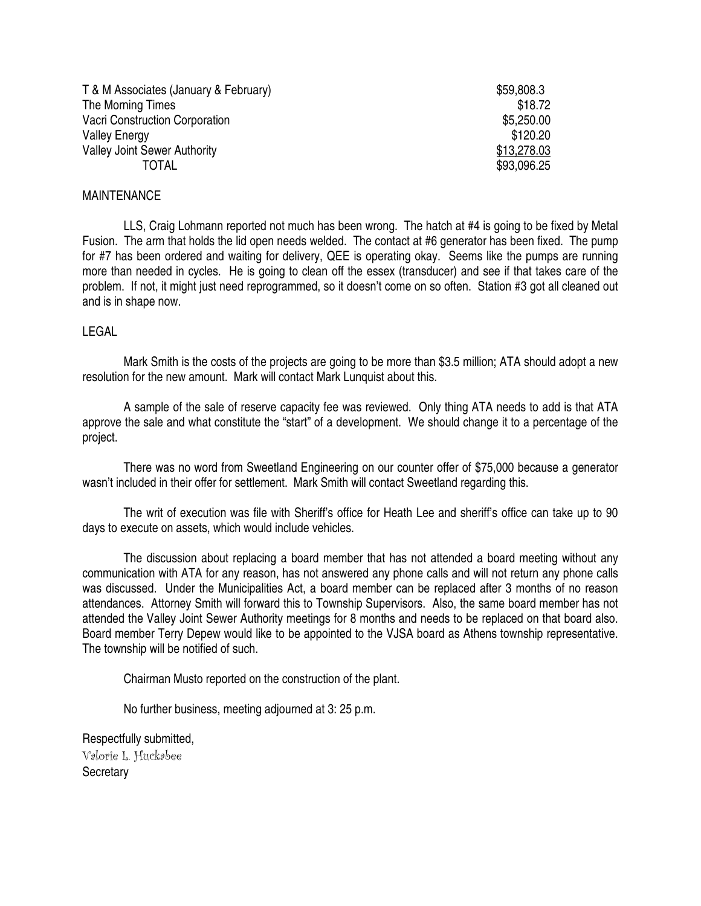| T & M Associates (January & February) | \$59,808.3  |
|---------------------------------------|-------------|
| The Morning Times                     | \$18.72     |
| <b>Vacri Construction Corporation</b> | \$5,250.00  |
| <b>Valley Energy</b>                  | \$120.20    |
| <b>Valley Joint Sewer Authority</b>   | \$13,278.03 |
| TOTAL                                 | \$93,096.25 |

#### MAINTENANCE

 LLS, Craig Lohmann reported not much has been wrong. The hatch at #4 is going to be fixed by Metal Fusion. The arm that holds the lid open needs welded. The contact at #6 generator has been fixed. The pump for #7 has been ordered and waiting for delivery, QEE is operating okay. Seems like the pumps are running more than needed in cycles. He is going to clean off the essex (transducer) and see if that takes care of the problem. If not, it might just need reprogrammed, so it doesn't come on so often. Station #3 got all cleaned out and is in shape now.

#### LEGAL

 Mark Smith is the costs of the projects are going to be more than \$3.5 million; ATA should adopt a new resolution for the new amount. Mark will contact Mark Lunquist about this.

 A sample of the sale of reserve capacity fee was reviewed. Only thing ATA needs to add is that ATA approve the sale and what constitute the "start" of a development. We should change it to a percentage of the project.

 There was no word from Sweetland Engineering on our counter offer of \$75,000 because a generator wasn't included in their offer for settlement. Mark Smith will contact Sweetland regarding this.

 The writ of execution was file with Sheriff's office for Heath Lee and sheriff's office can take up to 90 days to execute on assets, which would include vehicles.

 The discussion about replacing a board member that has not attended a board meeting without any communication with ATA for any reason, has not answered any phone calls and will not return any phone calls was discussed. Under the Municipalities Act, a board member can be replaced after 3 months of no reason attendances. Attorney Smith will forward this to Township Supervisors. Also, the same board member has not attended the Valley Joint Sewer Authority meetings for 8 months and needs to be replaced on that board also. Board member Terry Depew would like to be appointed to the VJSA board as Athens township representative. The township will be notified of such.

Chairman Musto reported on the construction of the plant.

No further business, meeting adjourned at 3: 25 p.m.

Respectfully submitted, Valorie L. Huckabee **Secretary**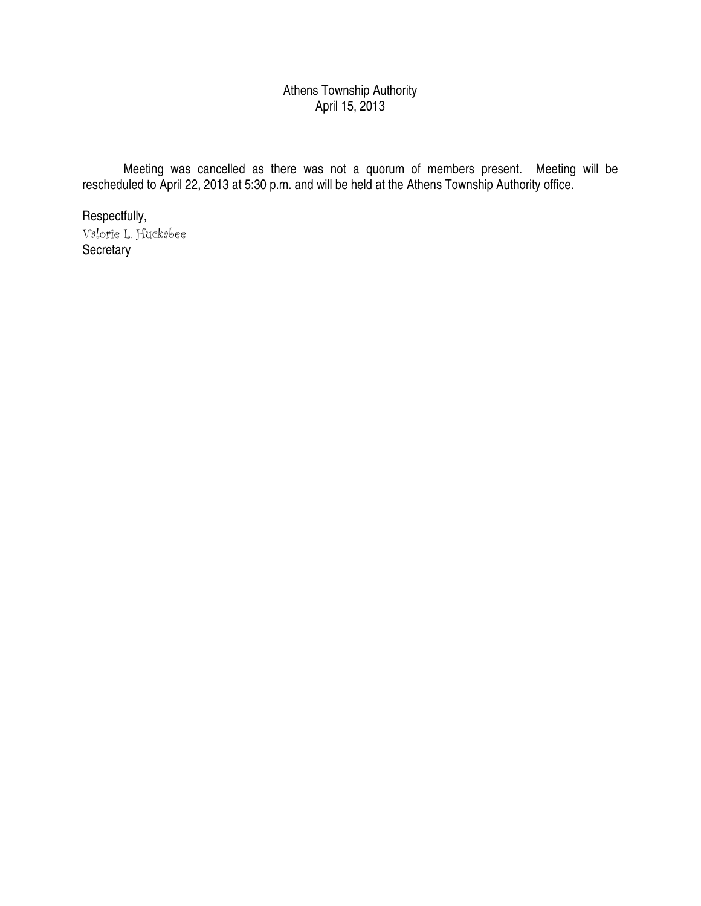# Athens Township Authority April 15, 2013

 Meeting was cancelled as there was not a quorum of members present. Meeting will be rescheduled to April 22, 2013 at 5:30 p.m. and will be held at the Athens Township Authority office.

Respectfully, Valorie L. Huckabee **Secretary**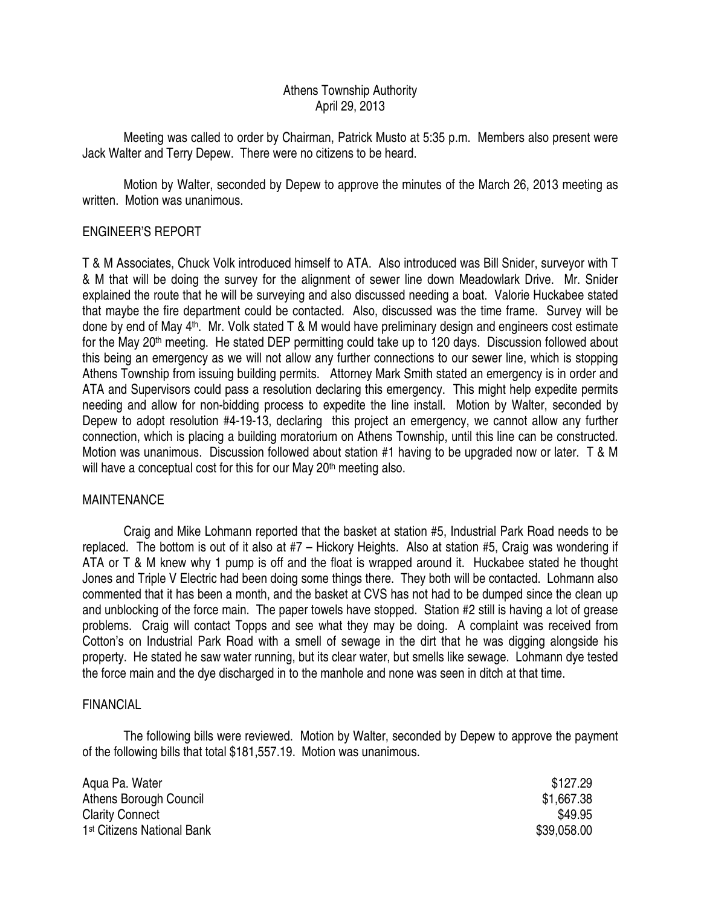# Athens Township Authority April 29, 2013

 Meeting was called to order by Chairman, Patrick Musto at 5:35 p.m. Members also present were Jack Walter and Terry Depew. There were no citizens to be heard.

 Motion by Walter, seconded by Depew to approve the minutes of the March 26, 2013 meeting as written. Motion was unanimous.

# ENGINEER'S REPORT

T & M Associates, Chuck Volk introduced himself to ATA. Also introduced was Bill Snider, surveyor with T & M that will be doing the survey for the alignment of sewer line down Meadowlark Drive. Mr. Snider explained the route that he will be surveying and also discussed needing a boat. Valorie Huckabee stated that maybe the fire department could be contacted. Also, discussed was the time frame. Survey will be done by end of May 4<sup>th</sup>. Mr. Volk stated T & M would have preliminary design and engineers cost estimate for the May 20<sup>th</sup> meeting. He stated DEP permitting could take up to 120 days. Discussion followed about this being an emergency as we will not allow any further connections to our sewer line, which is stopping Athens Township from issuing building permits. Attorney Mark Smith stated an emergency is in order and ATA and Supervisors could pass a resolution declaring this emergency. This might help expedite permits needing and allow for non-bidding process to expedite the line install. Motion by Walter, seconded by Depew to adopt resolution #4-19-13, declaring this project an emergency, we cannot allow any further connection, which is placing a building moratorium on Athens Township, until this line can be constructed. Motion was unanimous. Discussion followed about station #1 having to be upgraded now or later. T & M will have a conceptual cost for this for our May 20<sup>th</sup> meeting also.

## MAINTENANCE

 Craig and Mike Lohmann reported that the basket at station #5, Industrial Park Road needs to be replaced. The bottom is out of it also at #7 – Hickory Heights. Also at station #5, Craig was wondering if ATA or T & M knew why 1 pump is off and the float is wrapped around it. Huckabee stated he thought Jones and Triple V Electric had been doing some things there. They both will be contacted. Lohmann also commented that it has been a month, and the basket at CVS has not had to be dumped since the clean up and unblocking of the force main. The paper towels have stopped. Station #2 still is having a lot of grease problems. Craig will contact Topps and see what they may be doing. A complaint was received from Cotton's on Industrial Park Road with a smell of sewage in the dirt that he was digging alongside his property. He stated he saw water running, but its clear water, but smells like sewage. Lohmann dye tested the force main and the dye discharged in to the manhole and none was seen in ditch at that time.

## FINANCIAL

 The following bills were reviewed. Motion by Walter, seconded by Depew to approve the payment of the following bills that total \$181,557.19. Motion was unanimous.

| Agua Pa. Water                         | \$127.29    |
|----------------------------------------|-------------|
| Athens Borough Council                 | \$1,667.38  |
| <b>Clarity Connect</b>                 | \$49.95     |
| 1 <sup>st</sup> Citizens National Bank | \$39,058.00 |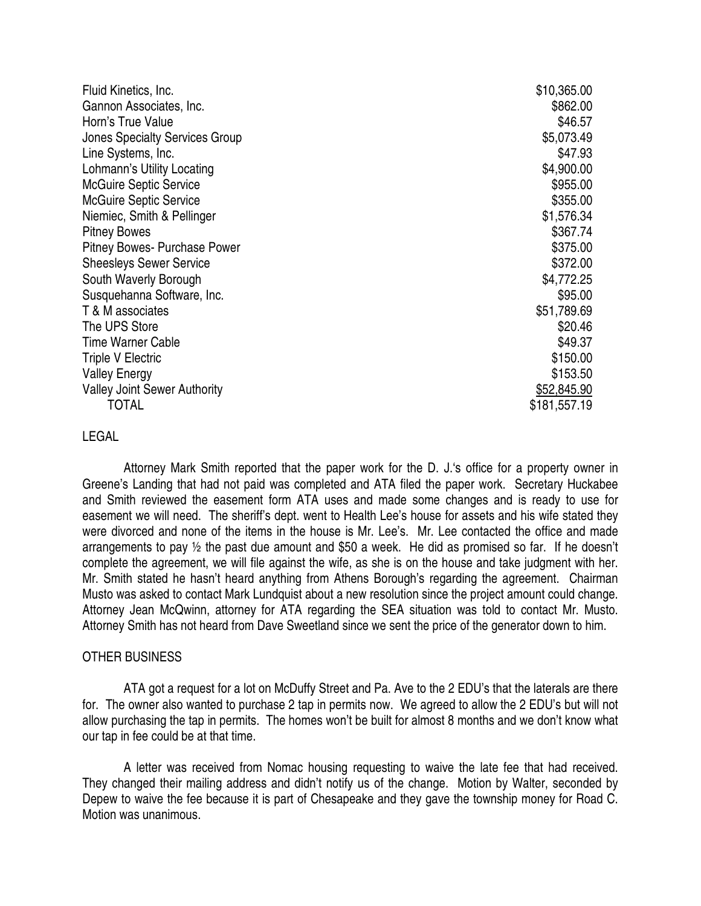| Fluid Kinetics, Inc.                  | \$10,365.00  |
|---------------------------------------|--------------|
| Gannon Associates, Inc.               | \$862.00     |
| Horn's True Value                     | \$46.57      |
| <b>Jones Specialty Services Group</b> | \$5,073.49   |
| Line Systems, Inc.                    | \$47.93      |
| Lohmann's Utility Locating            | \$4,900.00   |
| <b>McGuire Septic Service</b>         | \$955.00     |
| <b>McGuire Septic Service</b>         | \$355.00     |
| Niemiec, Smith & Pellinger            | \$1,576.34   |
| <b>Pitney Bowes</b>                   | \$367.74     |
| Pitney Bowes- Purchase Power          | \$375.00     |
| <b>Sheesleys Sewer Service</b>        | \$372.00     |
| South Waverly Borough                 | \$4,772.25   |
| Susquehanna Software, Inc.            | \$95.00      |
| T & M associates                      | \$51,789.69  |
| The UPS Store                         | \$20.46      |
| <b>Time Warner Cable</b>              | \$49.37      |
| <b>Triple V Electric</b>              | \$150.00     |
| <b>Valley Energy</b>                  | \$153.50     |
| <b>Valley Joint Sewer Authority</b>   | \$52,845.90  |
| TOTAL                                 | \$181,557.19 |

## LEGAL

 Attorney Mark Smith reported that the paper work for the D. J.'s office for a property owner in Greene's Landing that had not paid was completed and ATA filed the paper work. Secretary Huckabee and Smith reviewed the easement form ATA uses and made some changes and is ready to use for easement we will need. The sheriff's dept. went to Health Lee's house for assets and his wife stated they were divorced and none of the items in the house is Mr. Lee's. Mr. Lee contacted the office and made arrangements to pay ½ the past due amount and \$50 a week. He did as promised so far. If he doesn't complete the agreement, we will file against the wife, as she is on the house and take judgment with her. Mr. Smith stated he hasn't heard anything from Athens Borough's regarding the agreement. Chairman Musto was asked to contact Mark Lundquist about a new resolution since the project amount could change. Attorney Jean McQwinn, attorney for ATA regarding the SEA situation was told to contact Mr. Musto. Attorney Smith has not heard from Dave Sweetland since we sent the price of the generator down to him.

#### OTHER BUSINESS

 ATA got a request for a lot on McDuffy Street and Pa. Ave to the 2 EDU's that the laterals are there for. The owner also wanted to purchase 2 tap in permits now. We agreed to allow the 2 EDU's but will not allow purchasing the tap in permits. The homes won't be built for almost 8 months and we don't know what our tap in fee could be at that time.

 A letter was received from Nomac housing requesting to waive the late fee that had received. They changed their mailing address and didn't notify us of the change. Motion by Walter, seconded by Depew to waive the fee because it is part of Chesapeake and they gave the township money for Road C. Motion was unanimous.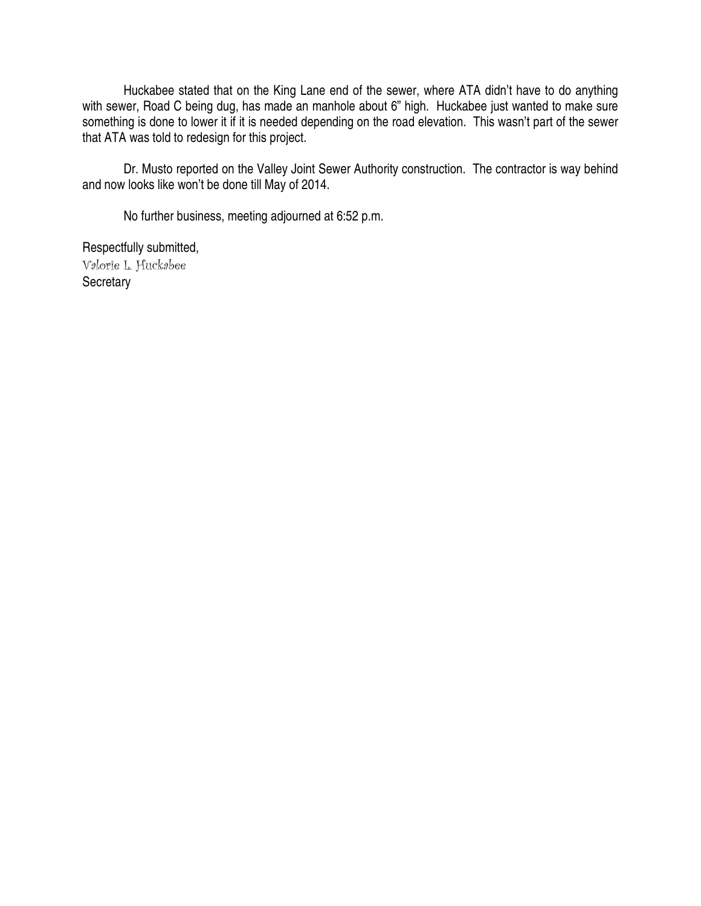Huckabee stated that on the King Lane end of the sewer, where ATA didn't have to do anything with sewer, Road C being dug, has made an manhole about 6" high. Huckabee just wanted to make sure something is done to lower it if it is needed depending on the road elevation. This wasn't part of the sewer that ATA was told to redesign for this project.

 Dr. Musto reported on the Valley Joint Sewer Authority construction. The contractor is way behind and now looks like won't be done till May of 2014.

No further business, meeting adjourned at 6:52 p.m.

Respectfully submitted, Valorie L. Huckabee **Secretary**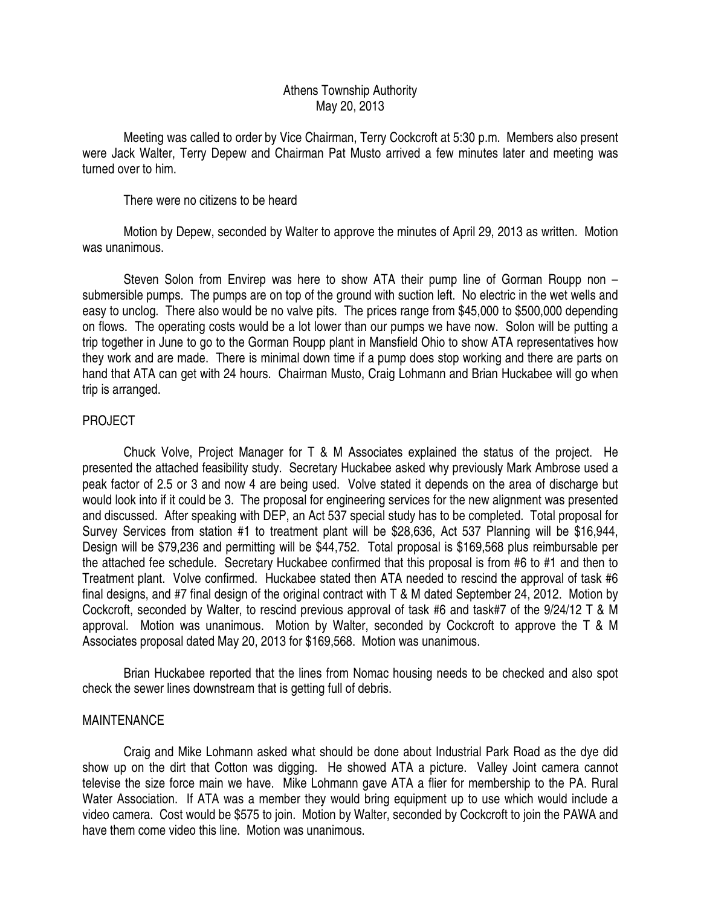## Athens Township Authority May 20, 2013

 Meeting was called to order by Vice Chairman, Terry Cockcroft at 5:30 p.m. Members also present were Jack Walter, Terry Depew and Chairman Pat Musto arrived a few minutes later and meeting was turned over to him.

There were no citizens to be heard

 Motion by Depew, seconded by Walter to approve the minutes of April 29, 2013 as written. Motion was unanimous.

 Steven Solon from Envirep was here to show ATA their pump line of Gorman Roupp non – submersible pumps. The pumps are on top of the ground with suction left. No electric in the wet wells and easy to unclog. There also would be no valve pits. The prices range from \$45,000 to \$500,000 depending on flows. The operating costs would be a lot lower than our pumps we have now. Solon will be putting a trip together in June to go to the Gorman Roupp plant in Mansfield Ohio to show ATA representatives how they work and are made. There is minimal down time if a pump does stop working and there are parts on hand that ATA can get with 24 hours. Chairman Musto, Craig Lohmann and Brian Huckabee will go when trip is arranged.

## PROJECT

 Chuck Volve, Project Manager for T & M Associates explained the status of the project. He presented the attached feasibility study. Secretary Huckabee asked why previously Mark Ambrose used a peak factor of 2.5 or 3 and now 4 are being used. Volve stated it depends on the area of discharge but would look into if it could be 3. The proposal for engineering services for the new alignment was presented and discussed. After speaking with DEP, an Act 537 special study has to be completed. Total proposal for Survey Services from station #1 to treatment plant will be \$28,636, Act 537 Planning will be \$16,944, Design will be \$79,236 and permitting will be \$44,752. Total proposal is \$169,568 plus reimbursable per the attached fee schedule. Secretary Huckabee confirmed that this proposal is from #6 to #1 and then to Treatment plant. Volve confirmed. Huckabee stated then ATA needed to rescind the approval of task #6 final designs, and #7 final design of the original contract with T & M dated September 24, 2012. Motion by Cockcroft, seconded by Walter, to rescind previous approval of task #6 and task#7 of the 9/24/12 T & M approval. Motion was unanimous. Motion by Walter, seconded by Cockcroft to approve the T & M Associates proposal dated May 20, 2013 for \$169,568. Motion was unanimous.

 Brian Huckabee reported that the lines from Nomac housing needs to be checked and also spot check the sewer lines downstream that is getting full of debris.

## MAINTENANCE

 Craig and Mike Lohmann asked what should be done about Industrial Park Road as the dye did show up on the dirt that Cotton was digging. He showed ATA a picture. Valley Joint camera cannot televise the size force main we have. Mike Lohmann gave ATA a flier for membership to the PA. Rural Water Association. If ATA was a member they would bring equipment up to use which would include a video camera. Cost would be \$575 to join. Motion by Walter, seconded by Cockcroft to join the PAWA and have them come video this line. Motion was unanimous.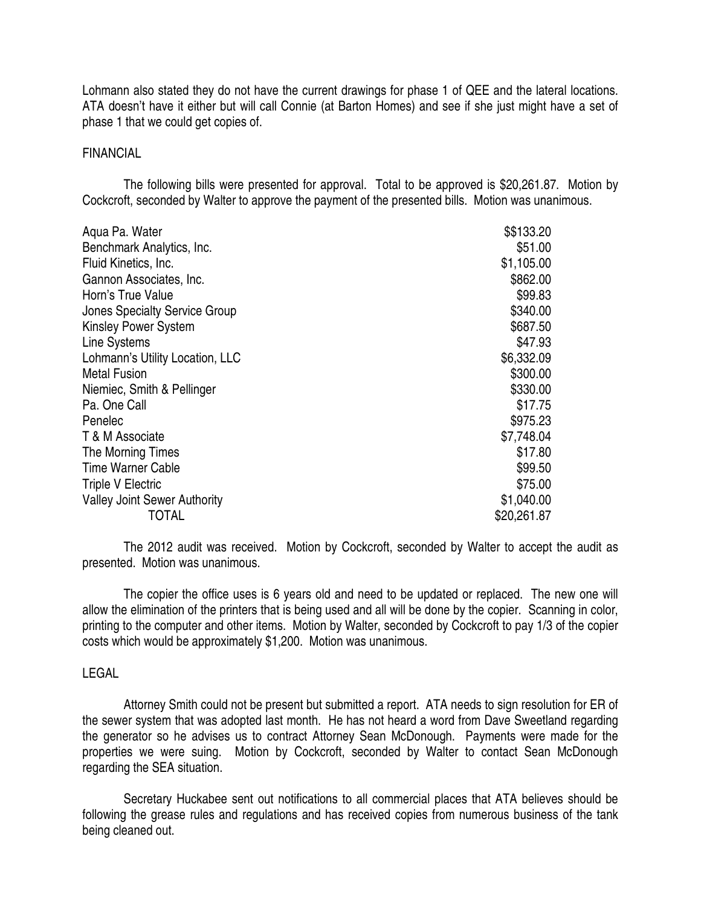Lohmann also stated they do not have the current drawings for phase 1 of QEE and the lateral locations. ATA doesn't have it either but will call Connie (at Barton Homes) and see if she just might have a set of phase 1 that we could get copies of.

#### FINANCIAL

 The following bills were presented for approval. Total to be approved is \$20,261.87. Motion by Cockcroft, seconded by Walter to approve the payment of the presented bills. Motion was unanimous.

| Agua Pa. Water                      | \$\$133.20  |
|-------------------------------------|-------------|
| Benchmark Analytics, Inc.           | \$51.00     |
| Fluid Kinetics, Inc.                | \$1,105.00  |
| Gannon Associates, Inc.             | \$862.00    |
| Horn's True Value                   | \$99.83     |
| Jones Specialty Service Group       | \$340.00    |
| <b>Kinsley Power System</b>         | \$687.50    |
| Line Systems                        | \$47.93     |
| Lohmann's Utility Location, LLC     | \$6,332.09  |
| <b>Metal Fusion</b>                 | \$300.00    |
| Niemiec, Smith & Pellinger          | \$330.00    |
| Pa. One Call                        | \$17.75     |
| Penelec                             | \$975.23    |
| T & M Associate                     | \$7,748.04  |
| The Morning Times                   | \$17.80     |
| <b>Time Warner Cable</b>            | \$99.50     |
| <b>Triple V Electric</b>            | \$75.00     |
| <b>Valley Joint Sewer Authority</b> | \$1,040.00  |
| TOTAL                               | \$20,261.87 |

 The 2012 audit was received. Motion by Cockcroft, seconded by Walter to accept the audit as presented. Motion was unanimous.

 The copier the office uses is 6 years old and need to be updated or replaced. The new one will allow the elimination of the printers that is being used and all will be done by the copier. Scanning in color, printing to the computer and other items. Motion by Walter, seconded by Cockcroft to pay 1/3 of the copier costs which would be approximately \$1,200. Motion was unanimous.

#### LEGAL

 Attorney Smith could not be present but submitted a report. ATA needs to sign resolution for ER of the sewer system that was adopted last month. He has not heard a word from Dave Sweetland regarding the generator so he advises us to contract Attorney Sean McDonough. Payments were made for the properties we were suing. Motion by Cockcroft, seconded by Walter to contact Sean McDonough regarding the SEA situation.

 Secretary Huckabee sent out notifications to all commercial places that ATA believes should be following the grease rules and regulations and has received copies from numerous business of the tank being cleaned out.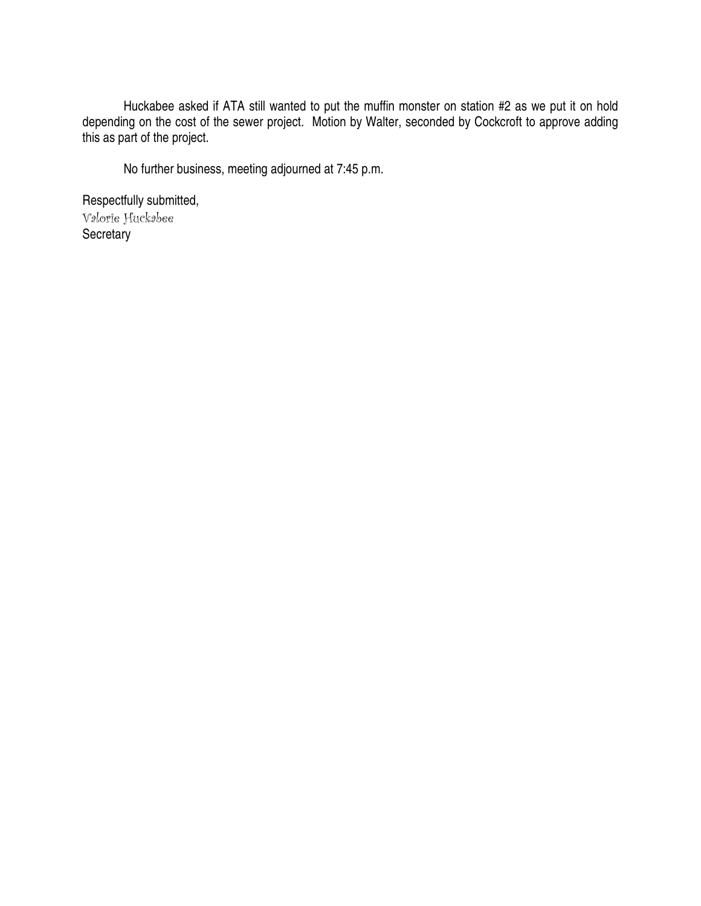Huckabee asked if ATA still wanted to put the muffin monster on station #2 as we put it on hold depending on the cost of the sewer project. Motion by Walter, seconded by Cockcroft to approve adding this as part of the project.

No further business, meeting adjourned at 7:45 p.m.

Respectfully submitted, Valorie Huckabee **Secretary**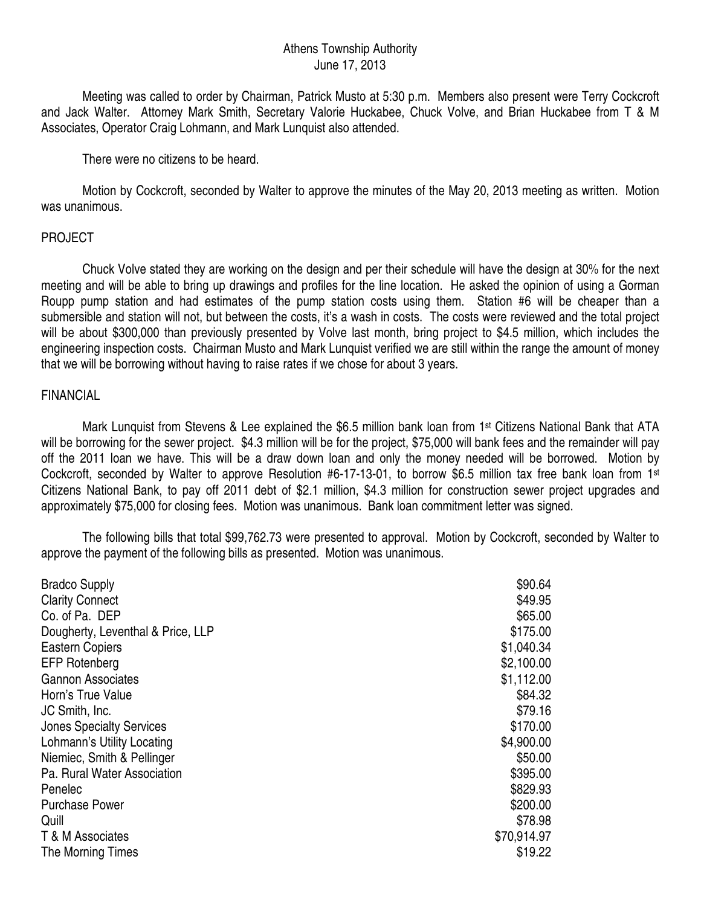# Athens Township Authority June 17, 2013

 Meeting was called to order by Chairman, Patrick Musto at 5:30 p.m. Members also present were Terry Cockcroft and Jack Walter. Attorney Mark Smith, Secretary Valorie Huckabee, Chuck Volve, and Brian Huckabee from T & M Associates, Operator Craig Lohmann, and Mark Lunquist also attended.

There were no citizens to be heard.

 Motion by Cockcroft, seconded by Walter to approve the minutes of the May 20, 2013 meeting as written. Motion was unanimous.

# PROJECT

 Chuck Volve stated they are working on the design and per their schedule will have the design at 30% for the next meeting and will be able to bring up drawings and profiles for the line location. He asked the opinion of using a Gorman Roupp pump station and had estimates of the pump station costs using them. Station #6 will be cheaper than a submersible and station will not, but between the costs, it's a wash in costs. The costs were reviewed and the total project will be about \$300,000 than previously presented by Volve last month, bring project to \$4.5 million, which includes the engineering inspection costs. Chairman Musto and Mark Lunquist verified we are still within the range the amount of money that we will be borrowing without having to raise rates if we chose for about 3 years.

## FINANCIAL

Mark Lunquist from Stevens & Lee explained the \$6.5 million bank loan from 1<sup>st</sup> Citizens National Bank that ATA will be borrowing for the sewer project. \$4.3 million will be for the project, \$75,000 will bank fees and the remainder will pay off the 2011 loan we have. This will be a draw down loan and only the money needed will be borrowed. Motion by Cockcroft, seconded by Walter to approve Resolution #6-17-13-01, to borrow \$6.5 million tax free bank loan from 1st Citizens National Bank, to pay off 2011 debt of \$2.1 million, \$4.3 million for construction sewer project upgrades and approximately \$75,000 for closing fees. Motion was unanimous. Bank loan commitment letter was signed.

 The following bills that total \$99,762.73 were presented to approval. Motion by Cockcroft, seconded by Walter to approve the payment of the following bills as presented. Motion was unanimous.

| <b>Bradco Supply</b>              | \$90.64     |
|-----------------------------------|-------------|
| <b>Clarity Connect</b>            | \$49.95     |
| Co. of Pa. DEP                    | \$65.00     |
| Dougherty, Leventhal & Price, LLP | \$175.00    |
| <b>Eastern Copiers</b>            | \$1,040.34  |
| <b>EFP Rotenberg</b>              | \$2,100.00  |
| <b>Gannon Associates</b>          | \$1,112.00  |
| Horn's True Value                 | \$84.32     |
| JC Smith, Inc.                    | \$79.16     |
| <b>Jones Specialty Services</b>   | \$170.00    |
| Lohmann's Utility Locating        | \$4,900.00  |
| Niemiec, Smith & Pellinger        | \$50.00     |
| Pa. Rural Water Association       | \$395.00    |
| Penelec                           | \$829.93    |
| <b>Purchase Power</b>             | \$200.00    |
| Quill                             | \$78.98     |
| T & M Associates                  | \$70,914.97 |
| The Morning Times                 | \$19.22     |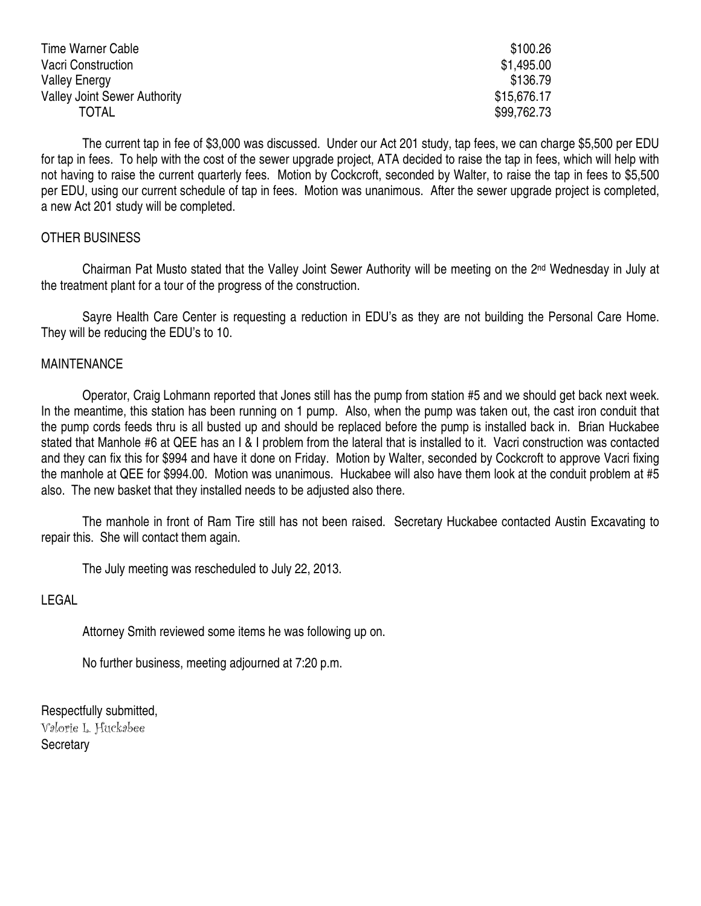| Time Warner Cable                   | \$100.26    |
|-------------------------------------|-------------|
| Vacri Construction                  | \$1,495.00  |
| <b>Valley Energy</b>                | \$136.79    |
| <b>Valley Joint Sewer Authority</b> | \$15,676.17 |
| <b>TOTAL</b>                        | \$99,762.73 |

 The current tap in fee of \$3,000 was discussed. Under our Act 201 study, tap fees, we can charge \$5,500 per EDU for tap in fees. To help with the cost of the sewer upgrade project, ATA decided to raise the tap in fees, which will help with not having to raise the current quarterly fees. Motion by Cockcroft, seconded by Walter, to raise the tap in fees to \$5,500 per EDU, using our current schedule of tap in fees. Motion was unanimous. After the sewer upgrade project is completed, a new Act 201 study will be completed.

# OTHER BUSINESS

 Chairman Pat Musto stated that the Valley Joint Sewer Authority will be meeting on the 2nd Wednesday in July at the treatment plant for a tour of the progress of the construction.

 Sayre Health Care Center is requesting a reduction in EDU's as they are not building the Personal Care Home. They will be reducing the EDU's to 10.

## **MAINTENANCE**

 Operator, Craig Lohmann reported that Jones still has the pump from station #5 and we should get back next week. In the meantime, this station has been running on 1 pump. Also, when the pump was taken out, the cast iron conduit that the pump cords feeds thru is all busted up and should be replaced before the pump is installed back in. Brian Huckabee stated that Manhole #6 at QEE has an I & I problem from the lateral that is installed to it. Vacri construction was contacted and they can fix this for \$994 and have it done on Friday. Motion by Walter, seconded by Cockcroft to approve Vacri fixing the manhole at QEE for \$994.00. Motion was unanimous. Huckabee will also have them look at the conduit problem at #5 also. The new basket that they installed needs to be adjusted also there.

 The manhole in front of Ram Tire still has not been raised. Secretary Huckabee contacted Austin Excavating to repair this. She will contact them again.

The July meeting was rescheduled to July 22, 2013.

LEGAL

Attorney Smith reviewed some items he was following up on.

No further business, meeting adjourned at 7:20 p.m.

Respectfully submitted, Valorie L. Huckabee **Secretary**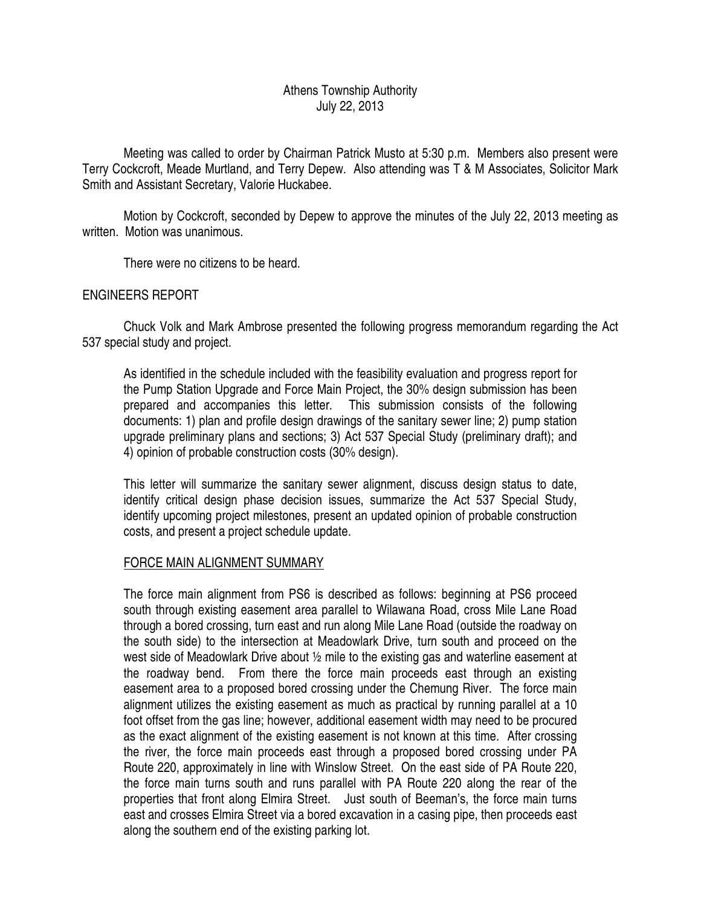# Athens Township Authority July 22, 2013

 Meeting was called to order by Chairman Patrick Musto at 5:30 p.m. Members also present were Terry Cockcroft, Meade Murtland, and Terry Depew. Also attending was T & M Associates, Solicitor Mark Smith and Assistant Secretary, Valorie Huckabee.

 Motion by Cockcroft, seconded by Depew to approve the minutes of the July 22, 2013 meeting as written. Motion was unanimous.

There were no citizens to be heard.

# ENGINEERS REPORT

 Chuck Volk and Mark Ambrose presented the following progress memorandum regarding the Act 537 special study and project.

As identified in the schedule included with the feasibility evaluation and progress report for the Pump Station Upgrade and Force Main Project, the 30% design submission has been prepared and accompanies this letter. This submission consists of the following documents: 1) plan and profile design drawings of the sanitary sewer line; 2) pump station upgrade preliminary plans and sections; 3) Act 537 Special Study (preliminary draft); and 4) opinion of probable construction costs (30% design).

This letter will summarize the sanitary sewer alignment, discuss design status to date, identify critical design phase decision issues, summarize the Act 537 Special Study, identify upcoming project milestones, present an updated opinion of probable construction costs, and present a project schedule update.

# FORCE MAIN ALIGNMENT SUMMARY

The force main alignment from PS6 is described as follows: beginning at PS6 proceed south through existing easement area parallel to Wilawana Road, cross Mile Lane Road through a bored crossing, turn east and run along Mile Lane Road (outside the roadway on the south side) to the intersection at Meadowlark Drive, turn south and proceed on the west side of Meadowlark Drive about ½ mile to the existing gas and waterline easement at the roadway bend. From there the force main proceeds east through an existing easement area to a proposed bored crossing under the Chemung River. The force main alignment utilizes the existing easement as much as practical by running parallel at a 10 foot offset from the gas line; however, additional easement width may need to be procured as the exact alignment of the existing easement is not known at this time. After crossing the river, the force main proceeds east through a proposed bored crossing under PA Route 220, approximately in line with Winslow Street. On the east side of PA Route 220, the force main turns south and runs parallel with PA Route 220 along the rear of the properties that front along Elmira Street. Just south of Beeman's, the force main turns east and crosses Elmira Street via a bored excavation in a casing pipe, then proceeds east along the southern end of the existing parking lot.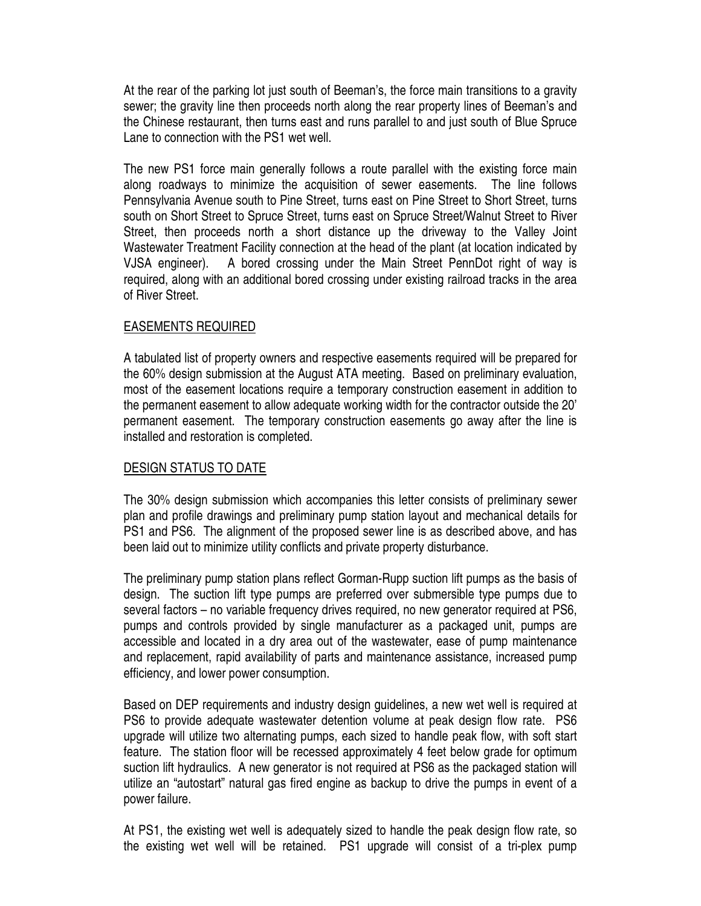At the rear of the parking lot just south of Beeman's, the force main transitions to a gravity sewer; the gravity line then proceeds north along the rear property lines of Beeman's and the Chinese restaurant, then turns east and runs parallel to and just south of Blue Spruce Lane to connection with the PS1 wet well.

The new PS1 force main generally follows a route parallel with the existing force main along roadways to minimize the acquisition of sewer easements. The line follows Pennsylvania Avenue south to Pine Street, turns east on Pine Street to Short Street, turns south on Short Street to Spruce Street, turns east on Spruce Street/Walnut Street to River Street, then proceeds north a short distance up the driveway to the Valley Joint Wastewater Treatment Facility connection at the head of the plant (at location indicated by VJSA engineer). A bored crossing under the Main Street PennDot right of way is required, along with an additional bored crossing under existing railroad tracks in the area of River Street.

# EASEMENTS REQUIRED

A tabulated list of property owners and respective easements required will be prepared for the 60% design submission at the August ATA meeting. Based on preliminary evaluation, most of the easement locations require a temporary construction easement in addition to the permanent easement to allow adequate working width for the contractor outside the 20' permanent easement. The temporary construction easements go away after the line is installed and restoration is completed.

# DESIGN STATUS TO DATE

The 30% design submission which accompanies this letter consists of preliminary sewer plan and profile drawings and preliminary pump station layout and mechanical details for PS1 and PS6. The alignment of the proposed sewer line is as described above, and has been laid out to minimize utility conflicts and private property disturbance.

The preliminary pump station plans reflect Gorman-Rupp suction lift pumps as the basis of design. The suction lift type pumps are preferred over submersible type pumps due to several factors – no variable frequency drives required, no new generator required at PS6, pumps and controls provided by single manufacturer as a packaged unit, pumps are accessible and located in a dry area out of the wastewater, ease of pump maintenance and replacement, rapid availability of parts and maintenance assistance, increased pump efficiency, and lower power consumption.

Based on DEP requirements and industry design guidelines, a new wet well is required at PS6 to provide adequate wastewater detention volume at peak design flow rate. PS6 upgrade will utilize two alternating pumps, each sized to handle peak flow, with soft start feature. The station floor will be recessed approximately 4 feet below grade for optimum suction lift hydraulics. A new generator is not required at PS6 as the packaged station will utilize an "autostart" natural gas fired engine as backup to drive the pumps in event of a power failure.

At PS1, the existing wet well is adequately sized to handle the peak design flow rate, so the existing wet well will be retained. PS1 upgrade will consist of a tri-plex pump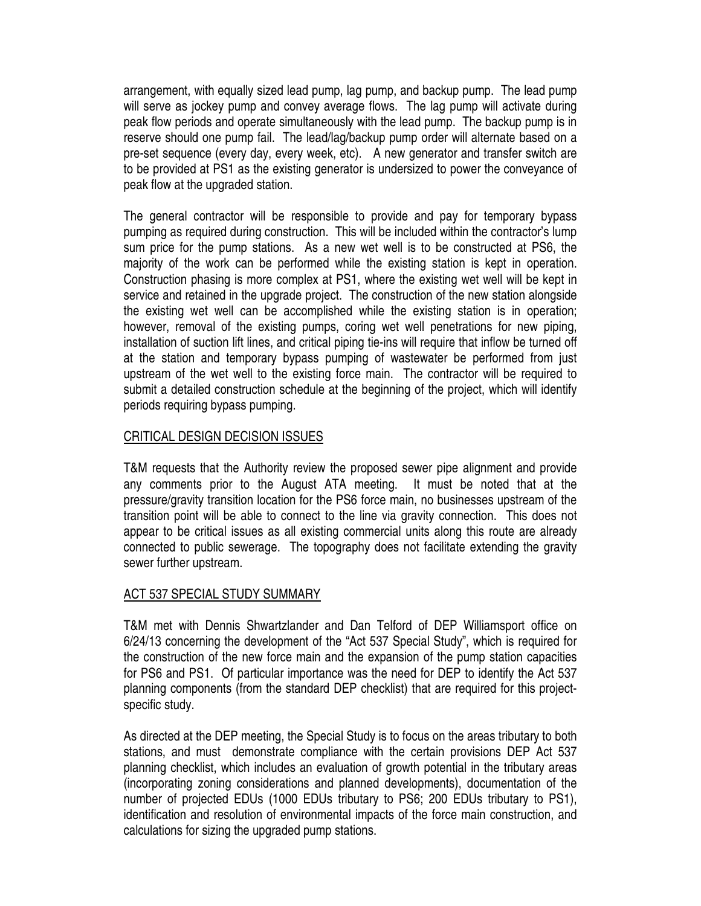arrangement, with equally sized lead pump, lag pump, and backup pump. The lead pump will serve as jockey pump and convey average flows. The lag pump will activate during peak flow periods and operate simultaneously with the lead pump. The backup pump is in reserve should one pump fail. The lead/lag/backup pump order will alternate based on a pre-set sequence (every day, every week, etc). A new generator and transfer switch are to be provided at PS1 as the existing generator is undersized to power the conveyance of peak flow at the upgraded station.

The general contractor will be responsible to provide and pay for temporary bypass pumping as required during construction. This will be included within the contractor's lump sum price for the pump stations. As a new wet well is to be constructed at PS6, the majority of the work can be performed while the existing station is kept in operation. Construction phasing is more complex at PS1, where the existing wet well will be kept in service and retained in the upgrade project. The construction of the new station alongside the existing wet well can be accomplished while the existing station is in operation; however, removal of the existing pumps, coring wet well penetrations for new piping, installation of suction lift lines, and critical piping tie-ins will require that inflow be turned off at the station and temporary bypass pumping of wastewater be performed from just upstream of the wet well to the existing force main. The contractor will be required to submit a detailed construction schedule at the beginning of the project, which will identify periods requiring bypass pumping.

# CRITICAL DESIGN DECISION ISSUES

T&M requests that the Authority review the proposed sewer pipe alignment and provide any comments prior to the August ATA meeting. It must be noted that at the pressure/gravity transition location for the PS6 force main, no businesses upstream of the transition point will be able to connect to the line via gravity connection. This does not appear to be critical issues as all existing commercial units along this route are already connected to public sewerage. The topography does not facilitate extending the gravity sewer further upstream.

# ACT 537 SPECIAL STUDY SUMMARY

T&M met with Dennis Shwartzlander and Dan Telford of DEP Williamsport office on 6/24/13 concerning the development of the "Act 537 Special Study", which is required for the construction of the new force main and the expansion of the pump station capacities for PS6 and PS1. Of particular importance was the need for DEP to identify the Act 537 planning components (from the standard DEP checklist) that are required for this projectspecific study.

As directed at the DEP meeting, the Special Study is to focus on the areas tributary to both stations, and must demonstrate compliance with the certain provisions DEP Act 537 planning checklist, which includes an evaluation of growth potential in the tributary areas (incorporating zoning considerations and planned developments), documentation of the number of projected EDUs (1000 EDUs tributary to PS6; 200 EDUs tributary to PS1), identification and resolution of environmental impacts of the force main construction, and calculations for sizing the upgraded pump stations.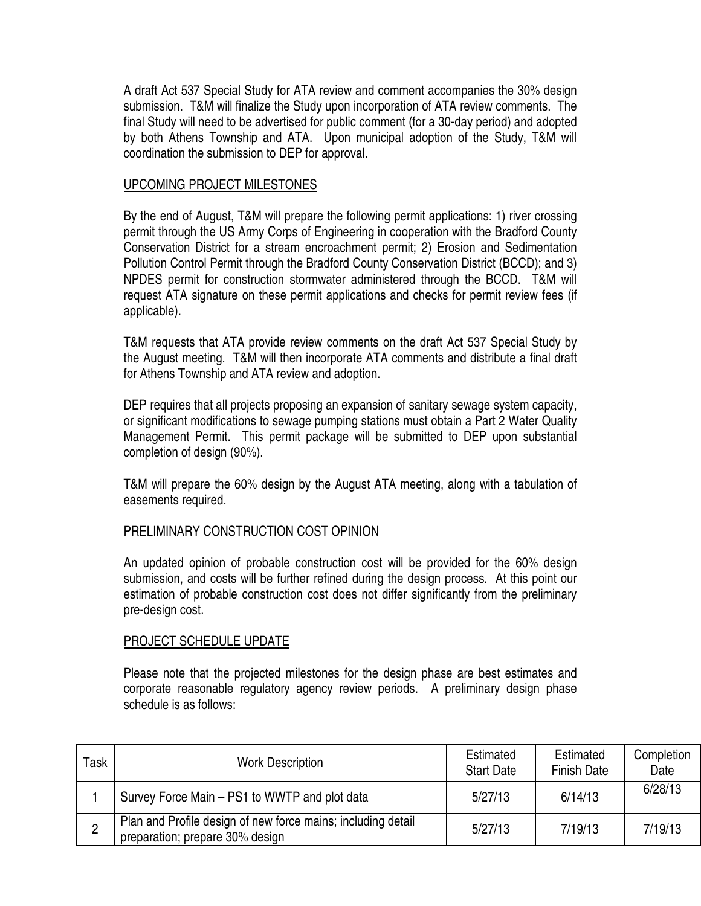A draft Act 537 Special Study for ATA review and comment accompanies the 30% design submission. T&M will finalize the Study upon incorporation of ATA review comments. The final Study will need to be advertised for public comment (for a 30-day period) and adopted by both Athens Township and ATA. Upon municipal adoption of the Study, T&M will coordination the submission to DEP for approval.

# UPCOMING PROJECT MILESTONES

By the end of August, T&M will prepare the following permit applications: 1) river crossing permit through the US Army Corps of Engineering in cooperation with the Bradford County Conservation District for a stream encroachment permit; 2) Erosion and Sedimentation Pollution Control Permit through the Bradford County Conservation District (BCCD); and 3) NPDES permit for construction stormwater administered through the BCCD. T&M will request ATA signature on these permit applications and checks for permit review fees (if applicable).

T&M requests that ATA provide review comments on the draft Act 537 Special Study by the August meeting. T&M will then incorporate ATA comments and distribute a final draft for Athens Township and ATA review and adoption.

DEP requires that all projects proposing an expansion of sanitary sewage system capacity, or significant modifications to sewage pumping stations must obtain a Part 2 Water Quality Management Permit. This permit package will be submitted to DEP upon substantial completion of design (90%).

T&M will prepare the 60% design by the August ATA meeting, along with a tabulation of easements required.

## PRELIMINARY CONSTRUCTION COST OPINION

An updated opinion of probable construction cost will be provided for the 60% design submission, and costs will be further refined during the design process. At this point our estimation of probable construction cost does not differ significantly from the preliminary pre-design cost.

## PROJECT SCHEDULE UPDATE

Please note that the projected milestones for the design phase are best estimates and corporate reasonable regulatory agency review periods. A preliminary design phase schedule is as follows:

| Task | <b>Work Description</b>                                                                         | Estimated<br><b>Start Date</b> | Estimated<br><b>Finish Date</b> | Completion<br>Date |
|------|-------------------------------------------------------------------------------------------------|--------------------------------|---------------------------------|--------------------|
|      | Survey Force Main – PS1 to WWTP and plot data                                                   | 5/27/13                        | 6/14/13                         | 6/28/13            |
| 2    | Plan and Profile design of new force mains; including detail<br>preparation; prepare 30% design | 5/27/13                        | 7/19/13                         | 7/19/13            |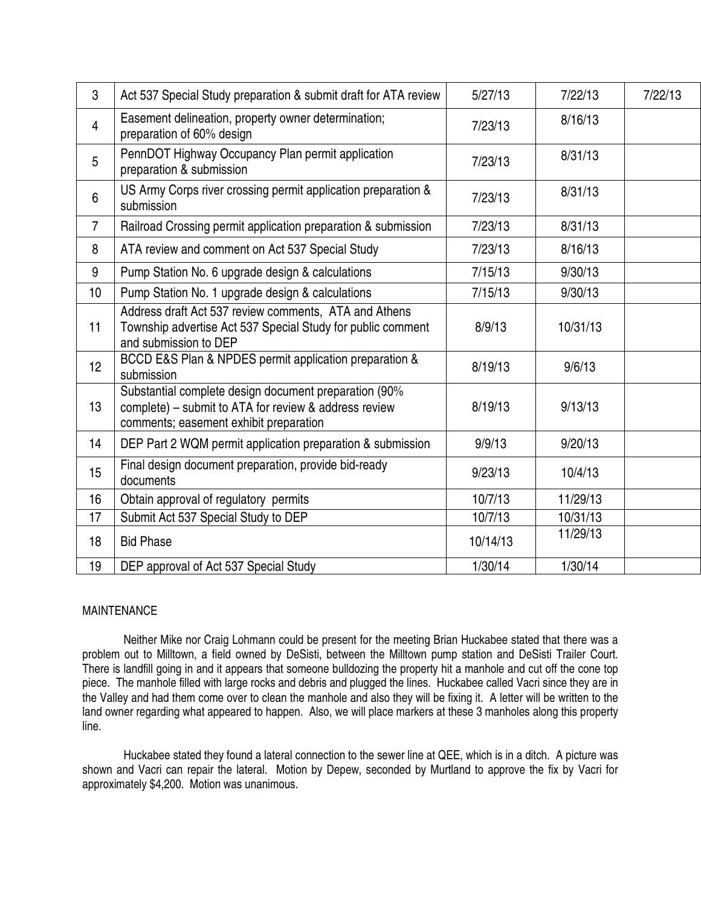| 3              | Act 537 Special Study preparation & submit draft for ATA review                                                                                          | 5/27/13  | 7/22/13  | 7/22/13 |
|----------------|----------------------------------------------------------------------------------------------------------------------------------------------------------|----------|----------|---------|
| $\overline{4}$ | Easement delineation, property owner determination;<br>preparation of 60% design                                                                         | 7/23/13  | 8/16/13  |         |
| 5              | PennDOT Highway Occupancy Plan permit application<br>preparation & submission                                                                            | 7/23/13  | 8/31/13  |         |
| $6\phantom{1}$ | US Army Corps river crossing permit application preparation &<br>submission                                                                              | 7/23/13  | 8/31/13  |         |
| $\overline{7}$ | Railroad Crossing permit application preparation & submission                                                                                            | 7/23/13  | 8/31/13  |         |
| 8              | ATA review and comment on Act 537 Special Study                                                                                                          | 7/23/13  | 8/16/13  |         |
| 9              | Pump Station No. 6 upgrade design & calculations                                                                                                         | 7/15/13  | 9/30/13  |         |
| 10             | Pump Station No. 1 upgrade design & calculations                                                                                                         | 7/15/13  | 9/30/13  |         |
| 11             | Address draft Act 537 review comments, ATA and Athens<br>Township advertise Act 537 Special Study for public comment<br>and submission to DEP            | 8/9/13   | 10/31/13 |         |
| 12             | BCCD E&S Plan & NPDES permit application preparation &<br>submission                                                                                     | 8/19/13  | 9/6/13   |         |
| 13             | Substantial complete design document preparation (90%<br>complete) – submit to ATA for review & address review<br>comments; easement exhibit preparation | 8/19/13  | 9/13/13  |         |
| 14             | DEP Part 2 WQM permit application preparation & submission                                                                                               | 9/9/13   | 9/20/13  |         |
| 15             | Final design document preparation, provide bid-ready<br>documents                                                                                        | 9/23/13  | 10/4/13  |         |
| 16             | Obtain approval of regulatory permits                                                                                                                    | 10/7/13  | 11/29/13 |         |
| 17             | Submit Act 537 Special Study to DEP                                                                                                                      | 10/7/13  | 10/31/13 |         |
| 18             | <b>Bid Phase</b>                                                                                                                                         | 10/14/13 | 11/29/13 |         |
| 19             | DEP approval of Act 537 Special Study                                                                                                                    | 1/30/14  | 1/30/14  |         |

#### MAINTENANCE

 Neither Mike nor Craig Lohmann could be present for the meeting Brian Huckabee stated that there was a problem out to Milltown, a field owned by DeSisti, between the Milltown pump station and DeSisti Trailer Court. There is landfill going in and it appears that someone bulldozing the property hit a manhole and cut off the cone top piece. The manhole filled with large rocks and debris and plugged the lines. Huckabee called Vacri since they are in the Valley and had them come over to clean the manhole and also they will be fixing it. A letter will be written to the land owner regarding what appeared to happen. Also, we will place markers at these 3 manholes along this property line.

 Huckabee stated they found a lateral connection to the sewer line at QEE, which is in a ditch. A picture was shown and Vacri can repair the lateral. Motion by Depew, seconded by Murtland to approve the fix by Vacri for approximately \$4,200. Motion was unanimous.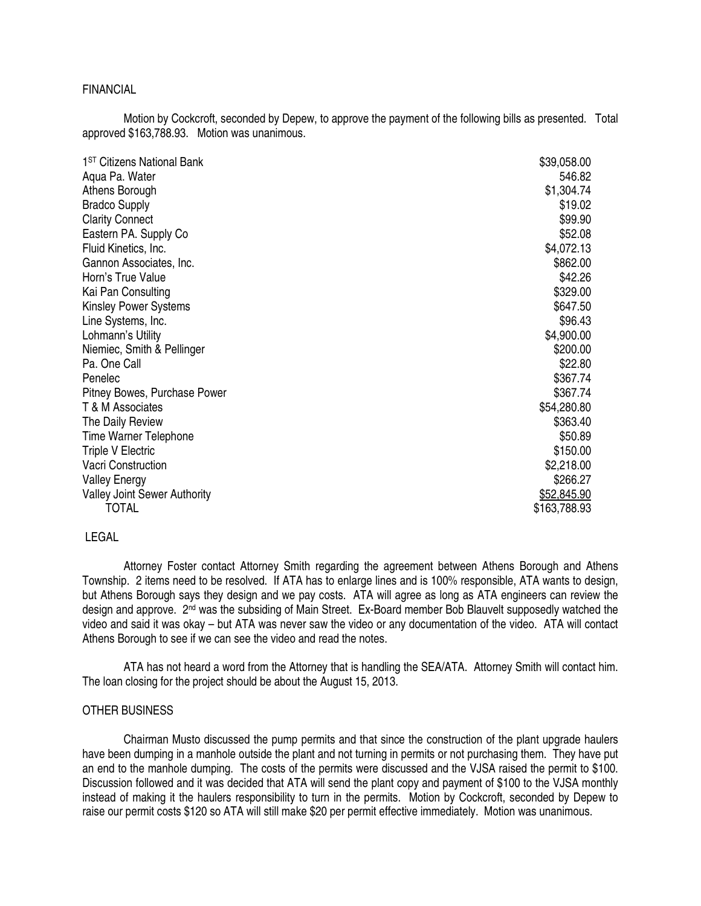#### FINANCIAL

 Motion by Cockcroft, seconded by Depew, to approve the payment of the following bills as presented. Total approved \$163,788.93. Motion was unanimous.

| \$39,058.00        |
|--------------------|
| 546.82             |
| \$1,304.74         |
| \$19.02            |
| \$99.90            |
| \$52.08            |
| \$4,072.13         |
| \$862.00           |
| \$42.26            |
| \$329.00           |
| \$647.50           |
| \$96.43            |
| \$4,900.00         |
| \$200.00           |
| \$22.80            |
| \$367.74           |
| \$367.74           |
| \$54,280.80        |
| \$363.40           |
| \$50.89            |
| \$150.00           |
| \$2,218.00         |
| \$266.27           |
| <u>\$52,845.90</u> |
| \$163,788.93       |
|                    |

#### LEGAL

 Attorney Foster contact Attorney Smith regarding the agreement between Athens Borough and Athens Township. 2 items need to be resolved. If ATA has to enlarge lines and is 100% responsible, ATA wants to design, but Athens Borough says they design and we pay costs. ATA will agree as long as ATA engineers can review the design and approve. 2<sup>nd</sup> was the subsiding of Main Street. Ex-Board member Bob Blauvelt supposedly watched the video and said it was okay – but ATA was never saw the video or any documentation of the video. ATA will contact Athens Borough to see if we can see the video and read the notes.

 ATA has not heard a word from the Attorney that is handling the SEA/ATA. Attorney Smith will contact him. The loan closing for the project should be about the August 15, 2013.

#### OTHER BUSINESS

 Chairman Musto discussed the pump permits and that since the construction of the plant upgrade haulers have been dumping in a manhole outside the plant and not turning in permits or not purchasing them. They have put an end to the manhole dumping. The costs of the permits were discussed and the VJSA raised the permit to \$100. Discussion followed and it was decided that ATA will send the plant copy and payment of \$100 to the VJSA monthly instead of making it the haulers responsibility to turn in the permits. Motion by Cockcroft, seconded by Depew to raise our permit costs \$120 so ATA will still make \$20 per permit effective immediately. Motion was unanimous.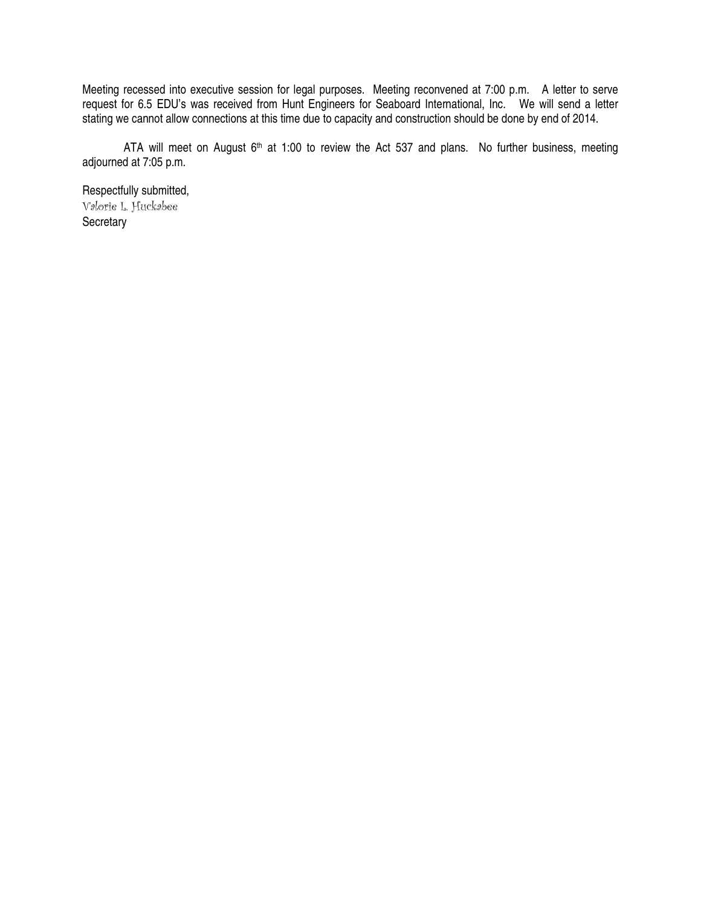Meeting recessed into executive session for legal purposes. Meeting reconvened at 7:00 p.m. A letter to serve request for 6.5 EDU's was received from Hunt Engineers for Seaboard International, Inc. We will send a letter stating we cannot allow connections at this time due to capacity and construction should be done by end of 2014.

ATA will meet on August  $6<sup>th</sup>$  at 1:00 to review the Act 537 and plans. No further business, meeting adjourned at 7:05 p.m.

Respectfully submitted, Valorie L. Huckabee Secretary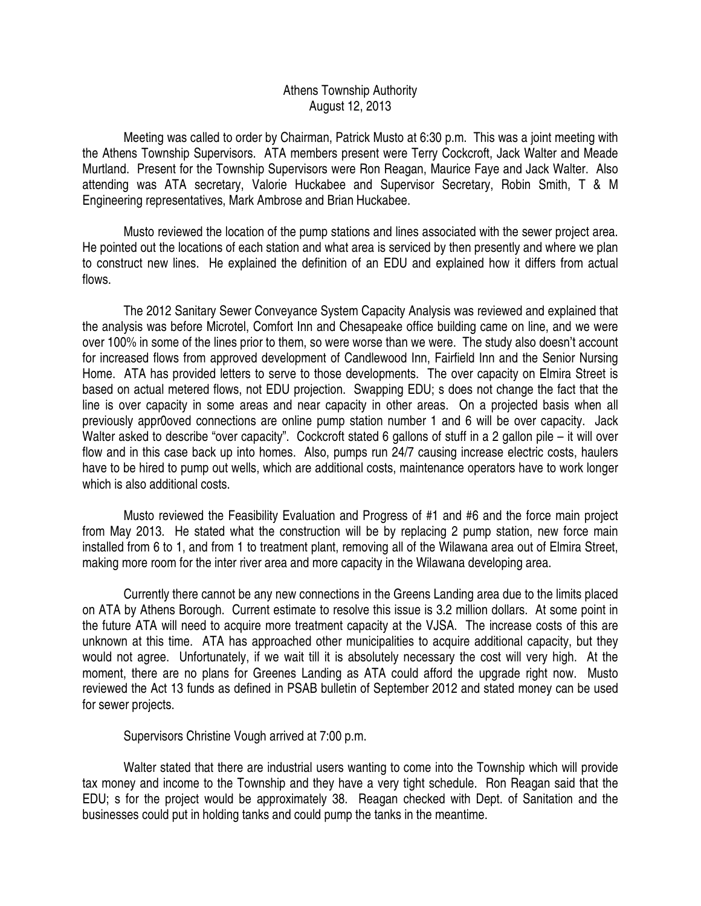# Athens Township Authority August 12, 2013

 Meeting was called to order by Chairman, Patrick Musto at 6:30 p.m. This was a joint meeting with the Athens Township Supervisors. ATA members present were Terry Cockcroft, Jack Walter and Meade Murtland. Present for the Township Supervisors were Ron Reagan, Maurice Faye and Jack Walter. Also attending was ATA secretary, Valorie Huckabee and Supervisor Secretary, Robin Smith, T & M Engineering representatives, Mark Ambrose and Brian Huckabee.

 Musto reviewed the location of the pump stations and lines associated with the sewer project area. He pointed out the locations of each station and what area is serviced by then presently and where we plan to construct new lines. He explained the definition of an EDU and explained how it differs from actual flows.

 The 2012 Sanitary Sewer Conveyance System Capacity Analysis was reviewed and explained that the analysis was before Microtel, Comfort Inn and Chesapeake office building came on line, and we were over 100% in some of the lines prior to them, so were worse than we were. The study also doesn't account for increased flows from approved development of Candlewood Inn, Fairfield Inn and the Senior Nursing Home. ATA has provided letters to serve to those developments. The over capacity on Elmira Street is based on actual metered flows, not EDU projection. Swapping EDU; s does not change the fact that the line is over capacity in some areas and near capacity in other areas. On a projected basis when all previously appr0oved connections are online pump station number 1 and 6 will be over capacity. Jack Walter asked to describe "over capacity". Cockcroft stated 6 gallons of stuff in a 2 gallon pile – it will over flow and in this case back up into homes. Also, pumps run 24/7 causing increase electric costs, haulers have to be hired to pump out wells, which are additional costs, maintenance operators have to work longer which is also additional costs.

 Musto reviewed the Feasibility Evaluation and Progress of #1 and #6 and the force main project from May 2013. He stated what the construction will be by replacing 2 pump station, new force main installed from 6 to 1, and from 1 to treatment plant, removing all of the Wilawana area out of Elmira Street, making more room for the inter river area and more capacity in the Wilawana developing area.

 Currently there cannot be any new connections in the Greens Landing area due to the limits placed on ATA by Athens Borough. Current estimate to resolve this issue is 3.2 million dollars. At some point in the future ATA will need to acquire more treatment capacity at the VJSA. The increase costs of this are unknown at this time. ATA has approached other municipalities to acquire additional capacity, but they would not agree. Unfortunately, if we wait till it is absolutely necessary the cost will very high. At the moment, there are no plans for Greenes Landing as ATA could afford the upgrade right now. Musto reviewed the Act 13 funds as defined in PSAB bulletin of September 2012 and stated money can be used for sewer projects.

Supervisors Christine Vough arrived at 7:00 p.m.

 Walter stated that there are industrial users wanting to come into the Township which will provide tax money and income to the Township and they have a very tight schedule. Ron Reagan said that the EDU; s for the project would be approximately 38. Reagan checked with Dept. of Sanitation and the businesses could put in holding tanks and could pump the tanks in the meantime.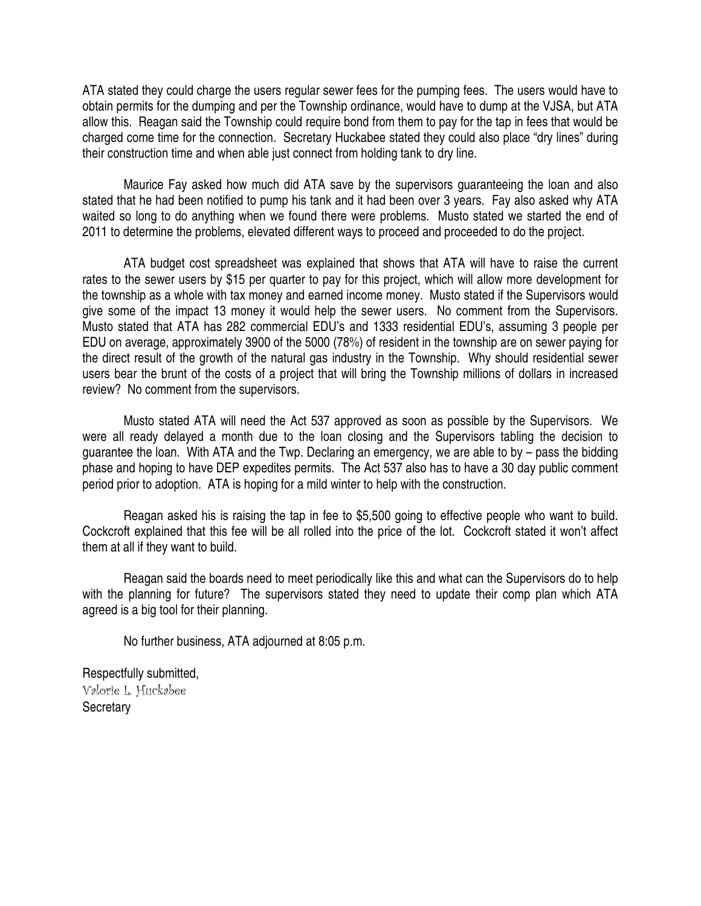ATA stated they could charge the users regular sewer fees for the pumping fees. The users would have to obtain permits for the dumping and per the Township ordinance, would have to dump at the VJSA, but ATA allow this. Reagan said the Township could require bond from them to pay for the tap in fees that would be charged come time for the connection. Secretary Huckabee stated they could also place "dry lines" during their construction time and when able just connect from holding tank to dry line.

 Maurice Fay asked how much did ATA save by the supervisors guaranteeing the loan and also stated that he had been notified to pump his tank and it had been over 3 years. Fay also asked why ATA waited so long to do anything when we found there were problems. Musto stated we started the end of 2011 to determine the problems, elevated different ways to proceed and proceeded to do the project.

 ATA budget cost spreadsheet was explained that shows that ATA will have to raise the current rates to the sewer users by \$15 per quarter to pay for this project, which will allow more development for the township as a whole with tax money and earned income money. Musto stated if the Supervisors would give some of the impact 13 money it would help the sewer users. No comment from the Supervisors. Musto stated that ATA has 282 commercial EDU's and 1333 residential EDU's, assuming 3 people per EDU on average, approximately 3900 of the 5000 (78%) of resident in the township are on sewer paying for the direct result of the growth of the natural gas industry in the Township. Why should residential sewer users bear the brunt of the costs of a project that will bring the Township millions of dollars in increased review? No comment from the supervisors.

 Musto stated ATA will need the Act 537 approved as soon as possible by the Supervisors. We were all ready delayed a month due to the loan closing and the Supervisors tabling the decision to guarantee the loan. With ATA and the Twp. Declaring an emergency, we are able to by – pass the bidding phase and hoping to have DEP expedites permits. The Act 537 also has to have a 30 day public comment period prior to adoption. ATA is hoping for a mild winter to help with the construction.

 Reagan asked his is raising the tap in fee to \$5,500 going to effective people who want to build. Cockcroft explained that this fee will be all rolled into the price of the lot. Cockcroft stated it won't affect them at all if they want to build.

 Reagan said the boards need to meet periodically like this and what can the Supervisors do to help with the planning for future? The supervisors stated they need to update their comp plan which ATA agreed is a big tool for their planning.

No further business, ATA adjourned at 8:05 p.m.

Respectfully submitted, Valorie L. Huckabee **Secretary**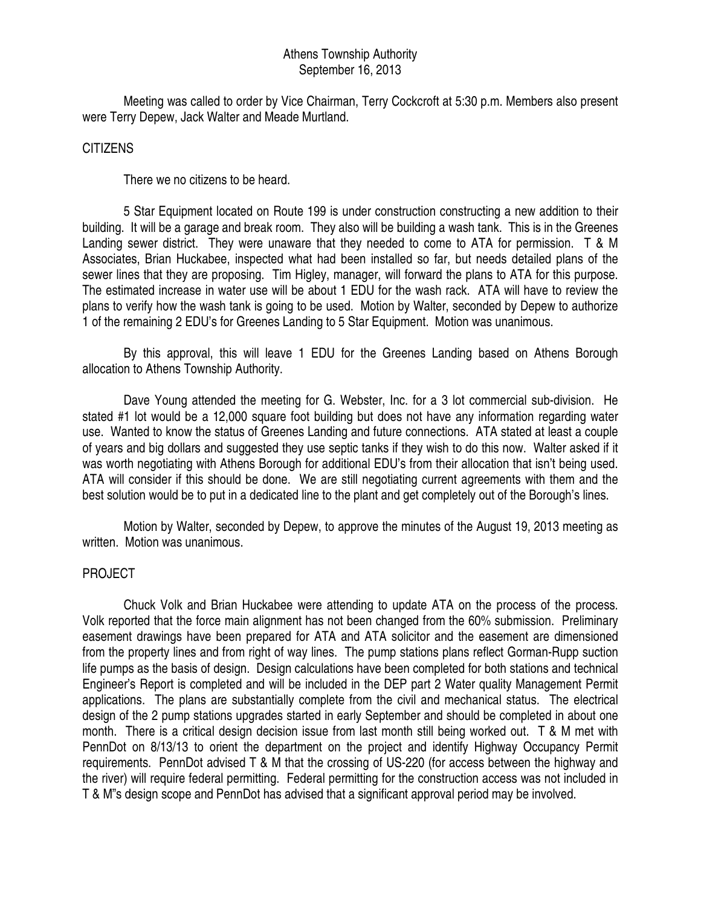## Athens Township Authority September 16, 2013

 Meeting was called to order by Vice Chairman, Terry Cockcroft at 5:30 p.m. Members also present were Terry Depew, Jack Walter and Meade Murtland.

#### CITIZENS

There we no citizens to be heard.

 5 Star Equipment located on Route 199 is under construction constructing a new addition to their building. It will be a garage and break room. They also will be building a wash tank. This is in the Greenes Landing sewer district. They were unaware that they needed to come to ATA for permission. T & M Associates, Brian Huckabee, inspected what had been installed so far, but needs detailed plans of the sewer lines that they are proposing. Tim Higley, manager, will forward the plans to ATA for this purpose. The estimated increase in water use will be about 1 EDU for the wash rack. ATA will have to review the plans to verify how the wash tank is going to be used. Motion by Walter, seconded by Depew to authorize 1 of the remaining 2 EDU's for Greenes Landing to 5 Star Equipment. Motion was unanimous.

 By this approval, this will leave 1 EDU for the Greenes Landing based on Athens Borough allocation to Athens Township Authority.

 Dave Young attended the meeting for G. Webster, Inc. for a 3 lot commercial sub-division. He stated #1 lot would be a 12,000 square foot building but does not have any information regarding water use. Wanted to know the status of Greenes Landing and future connections. ATA stated at least a couple of years and big dollars and suggested they use septic tanks if they wish to do this now. Walter asked if it was worth negotiating with Athens Borough for additional EDU's from their allocation that isn't being used. ATA will consider if this should be done. We are still negotiating current agreements with them and the best solution would be to put in a dedicated line to the plant and get completely out of the Borough's lines.

 Motion by Walter, seconded by Depew, to approve the minutes of the August 19, 2013 meeting as written. Motion was unanimous.

## PROJECT

 Chuck Volk and Brian Huckabee were attending to update ATA on the process of the process. Volk reported that the force main alignment has not been changed from the 60% submission. Preliminary easement drawings have been prepared for ATA and ATA solicitor and the easement are dimensioned from the property lines and from right of way lines. The pump stations plans reflect Gorman-Rupp suction life pumps as the basis of design. Design calculations have been completed for both stations and technical Engineer's Report is completed and will be included in the DEP part 2 Water quality Management Permit applications. The plans are substantially complete from the civil and mechanical status. The electrical design of the 2 pump stations upgrades started in early September and should be completed in about one month. There is a critical design decision issue from last month still being worked out. T & M met with PennDot on 8/13/13 to orient the department on the project and identify Highway Occupancy Permit requirements. PennDot advised T & M that the crossing of US-220 (for access between the highway and the river) will require federal permitting. Federal permitting for the construction access was not included in T & M"s design scope and PennDot has advised that a significant approval period may be involved.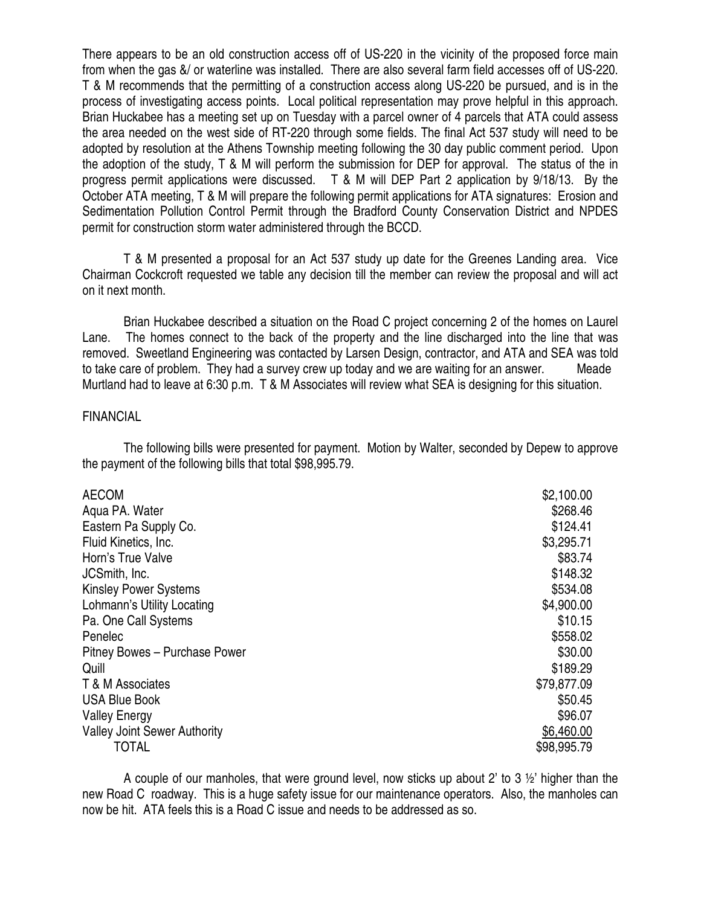There appears to be an old construction access off of US-220 in the vicinity of the proposed force main from when the gas &/ or waterline was installed. There are also several farm field accesses off of US-220. T & M recommends that the permitting of a construction access along US-220 be pursued, and is in the process of investigating access points. Local political representation may prove helpful in this approach. Brian Huckabee has a meeting set up on Tuesday with a parcel owner of 4 parcels that ATA could assess the area needed on the west side of RT-220 through some fields. The final Act 537 study will need to be adopted by resolution at the Athens Township meeting following the 30 day public comment period. Upon the adoption of the study, T & M will perform the submission for DEP for approval. The status of the in progress permit applications were discussed. T & M will DEP Part 2 application by 9/18/13. By the October ATA meeting, T & M will prepare the following permit applications for ATA signatures: Erosion and Sedimentation Pollution Control Permit through the Bradford County Conservation District and NPDES permit for construction storm water administered through the BCCD.

 T & M presented a proposal for an Act 537 study up date for the Greenes Landing area. Vice Chairman Cockcroft requested we table any decision till the member can review the proposal and will act on it next month.

 Brian Huckabee described a situation on the Road C project concerning 2 of the homes on Laurel Lane. The homes connect to the back of the property and the line discharged into the line that was removed. Sweetland Engineering was contacted by Larsen Design, contractor, and ATA and SEA was told to take care of problem. They had a survey crew up today and we are waiting for an answer. Meade Murtland had to leave at 6:30 p.m. T & M Associates will review what SEA is designing for this situation.

## FINANCIAL

 The following bills were presented for payment. Motion by Walter, seconded by Depew to approve the payment of the following bills that total \$98,995.79.

| <b>AECOM</b>                        | \$2,100.00  |
|-------------------------------------|-------------|
| Aqua PA. Water                      | \$268.46    |
| Eastern Pa Supply Co.               | \$124.41    |
| Fluid Kinetics, Inc.                | \$3,295.71  |
| Horn's True Valve                   | \$83.74     |
| JCSmith, Inc.                       | \$148.32    |
| <b>Kinsley Power Systems</b>        | \$534.08    |
| Lohmann's Utility Locating          | \$4,900.00  |
| Pa. One Call Systems                | \$10.15     |
| Penelec                             | \$558.02    |
| Pitney Bowes - Purchase Power       | \$30.00     |
| Quill                               | \$189.29    |
| T & M Associates                    | \$79,877.09 |
| <b>USA Blue Book</b>                | \$50.45     |
| <b>Valley Energy</b>                | \$96.07     |
| <b>Valley Joint Sewer Authority</b> | \$6,460.00  |
| <b>TOTAL</b>                        | \$98,995.79 |

A couple of our manholes, that were ground level, now sticks up about 2' to 3  $\frac{1}{2}$ ' higher than the new Road C roadway. This is a huge safety issue for our maintenance operators. Also, the manholes can now be hit. ATA feels this is a Road C issue and needs to be addressed as so.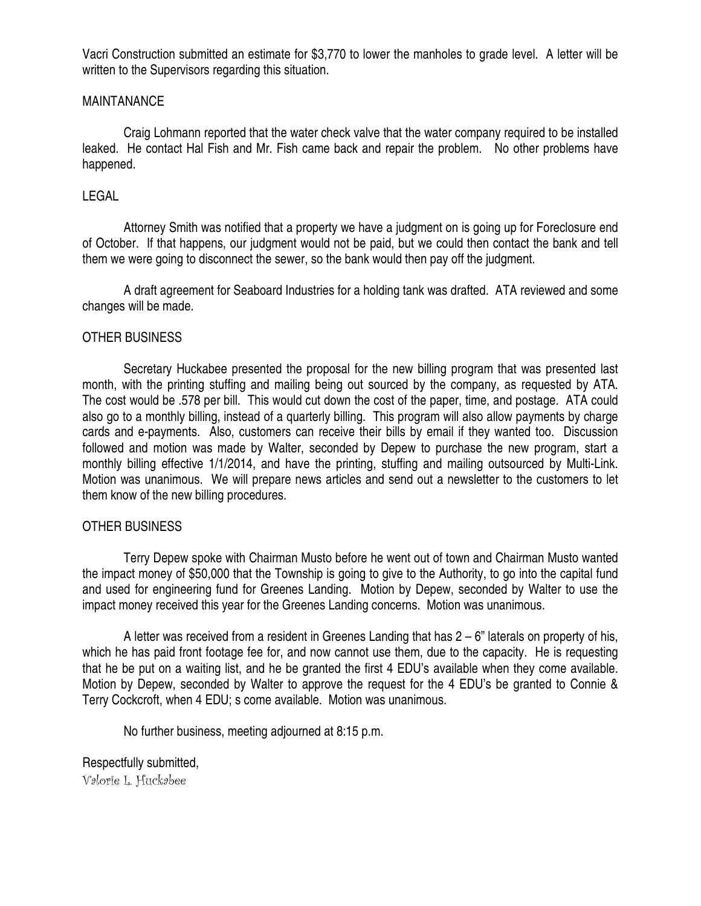Vacri Construction submitted an estimate for \$3,770 to lower the manholes to grade level. A letter will be written to the Supervisors regarding this situation.

## MAINTANANCE

 Craig Lohmann reported that the water check valve that the water company required to be installed leaked. He contact Hal Fish and Mr. Fish came back and repair the problem. No other problems have happened.

## LEGAL

 Attorney Smith was notified that a property we have a judgment on is going up for Foreclosure end of October. If that happens, our judgment would not be paid, but we could then contact the bank and tell them we were going to disconnect the sewer, so the bank would then pay off the judgment.

 A draft agreement for Seaboard Industries for a holding tank was drafted. ATA reviewed and some changes will be made.

#### OTHER BUSINESS

 Secretary Huckabee presented the proposal for the new billing program that was presented last month, with the printing stuffing and mailing being out sourced by the company, as requested by ATA. The cost would be .578 per bill. This would cut down the cost of the paper, time, and postage. ATA could also go to a monthly billing, instead of a quarterly billing. This program will also allow payments by charge cards and e-payments. Also, customers can receive their bills by email if they wanted too. Discussion followed and motion was made by Walter, seconded by Depew to purchase the new program, start a monthly billing effective 1/1/2014, and have the printing, stuffing and mailing outsourced by Multi-Link. Motion was unanimous. We will prepare news articles and send out a newsletter to the customers to let them know of the new billing procedures.

#### OTHER BUSINESS

 Terry Depew spoke with Chairman Musto before he went out of town and Chairman Musto wanted the impact money of \$50,000 that the Township is going to give to the Authority, to go into the capital fund and used for engineering fund for Greenes Landing. Motion by Depew, seconded by Walter to use the impact money received this year for the Greenes Landing concerns. Motion was unanimous.

A letter was received from a resident in Greenes Landing that has  $2 - 6$ " laterals on property of his, which he has paid front footage fee for, and now cannot use them, due to the capacity. He is requesting that he be put on a waiting list, and he be granted the first 4 EDU's available when they come available. Motion by Depew, seconded by Walter to approve the request for the 4 EDU's be granted to Connie & Terry Cockcroft, when 4 EDU; s come available. Motion was unanimous.

No further business, meeting adjourned at 8:15 p.m.

## Respectfully submitted,

Valorie L. Huckabee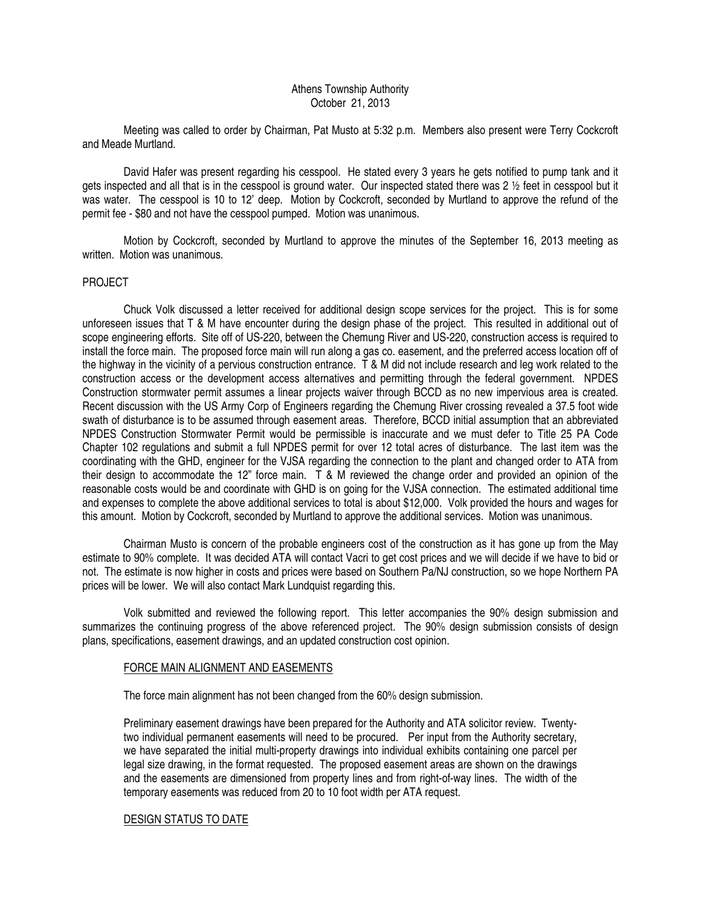#### Athens Township Authority October 21, 2013

 Meeting was called to order by Chairman, Pat Musto at 5:32 p.m. Members also present were Terry Cockcroft and Meade Murtland.

 David Hafer was present regarding his cesspool. He stated every 3 years he gets notified to pump tank and it gets inspected and all that is in the cesspool is ground water. Our inspected stated there was 2 ½ feet in cesspool but it was water. The cesspool is 10 to 12' deep. Motion by Cockcroft, seconded by Murtland to approve the refund of the permit fee - \$80 and not have the cesspool pumped. Motion was unanimous.

 Motion by Cockcroft, seconded by Murtland to approve the minutes of the September 16, 2013 meeting as written. Motion was unanimous.

#### PROJECT

 Chuck Volk discussed a letter received for additional design scope services for the project. This is for some unforeseen issues that T & M have encounter during the design phase of the project. This resulted in additional out of scope engineering efforts. Site off of US-220, between the Chemung River and US-220, construction access is required to install the force main. The proposed force main will run along a gas co. easement, and the preferred access location off of the highway in the vicinity of a pervious construction entrance. T & M did not include research and leg work related to the construction access or the development access alternatives and permitting through the federal government. NPDES Construction stormwater permit assumes a linear projects waiver through BCCD as no new impervious area is created. Recent discussion with the US Army Corp of Engineers regarding the Chemung River crossing revealed a 37.5 foot wide swath of disturbance is to be assumed through easement areas. Therefore, BCCD initial assumption that an abbreviated NPDES Construction Stormwater Permit would be permissible is inaccurate and we must defer to Title 25 PA Code Chapter 102 regulations and submit a full NPDES permit for over 12 total acres of disturbance. The last item was the coordinating with the GHD, engineer for the VJSA regarding the connection to the plant and changed order to ATA from their design to accommodate the 12" force main. T & M reviewed the change order and provided an opinion of the reasonable costs would be and coordinate with GHD is on going for the VJSA connection. The estimated additional time and expenses to complete the above additional services to total is about \$12,000. Volk provided the hours and wages for this amount. Motion by Cockcroft, seconded by Murtland to approve the additional services. Motion was unanimous.

 Chairman Musto is concern of the probable engineers cost of the construction as it has gone up from the May estimate to 90% complete. It was decided ATA will contact Vacri to get cost prices and we will decide if we have to bid or not. The estimate is now higher in costs and prices were based on Southern Pa/NJ construction, so we hope Northern PA prices will be lower. We will also contact Mark Lundquist regarding this.

 Volk submitted and reviewed the following report. This letter accompanies the 90% design submission and summarizes the continuing progress of the above referenced project. The 90% design submission consists of design plans, specifications, easement drawings, and an updated construction cost opinion.

#### FORCE MAIN ALIGNMENT AND EASEMENTS

The force main alignment has not been changed from the 60% design submission.

Preliminary easement drawings have been prepared for the Authority and ATA solicitor review. Twentytwo individual permanent easements will need to be procured. Per input from the Authority secretary, we have separated the initial multi-property drawings into individual exhibits containing one parcel per legal size drawing, in the format requested. The proposed easement areas are shown on the drawings and the easements are dimensioned from property lines and from right-of-way lines. The width of the temporary easements was reduced from 20 to 10 foot width per ATA request.

#### DESIGN STATUS TO DATE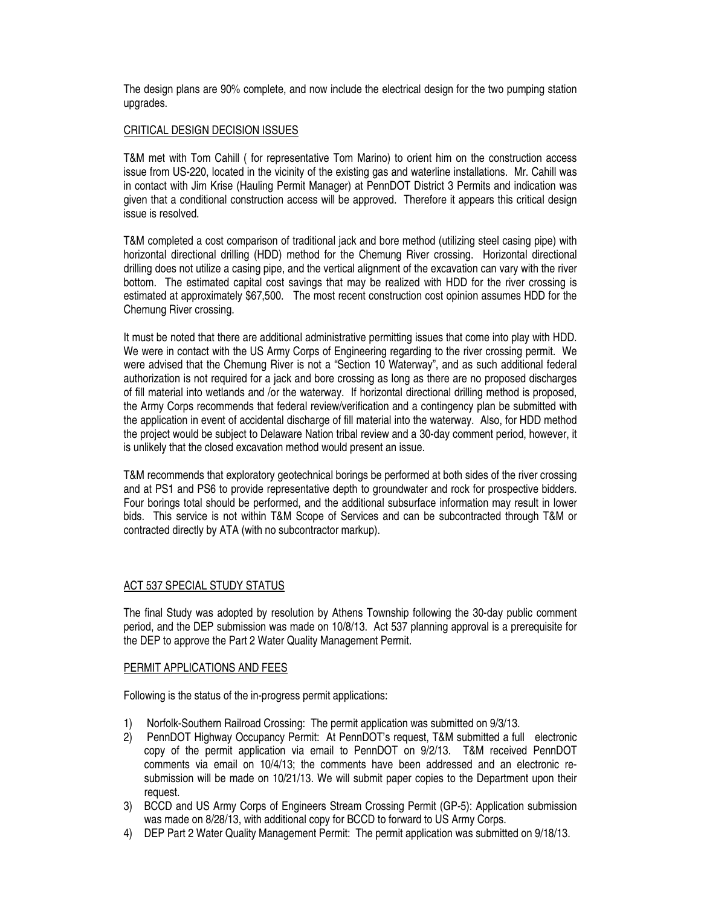The design plans are 90% complete, and now include the electrical design for the two pumping station upgrades.

#### CRITICAL DESIGN DECISION ISSUES

T&M met with Tom Cahill ( for representative Tom Marino) to orient him on the construction access issue from US-220, located in the vicinity of the existing gas and waterline installations. Mr. Cahill was in contact with Jim Krise (Hauling Permit Manager) at PennDOT District 3 Permits and indication was given that a conditional construction access will be approved. Therefore it appears this critical design issue is resolved.

T&M completed a cost comparison of traditional jack and bore method (utilizing steel casing pipe) with horizontal directional drilling (HDD) method for the Chemung River crossing. Horizontal directional drilling does not utilize a casing pipe, and the vertical alignment of the excavation can vary with the river bottom. The estimated capital cost savings that may be realized with HDD for the river crossing is estimated at approximately \$67,500. The most recent construction cost opinion assumes HDD for the Chemung River crossing.

It must be noted that there are additional administrative permitting issues that come into play with HDD. We were in contact with the US Army Corps of Engineering regarding to the river crossing permit. We were advised that the Chemung River is not a "Section 10 Waterway", and as such additional federal authorization is not required for a jack and bore crossing as long as there are no proposed discharges of fill material into wetlands and /or the waterway. If horizontal directional drilling method is proposed, the Army Corps recommends that federal review/verification and a contingency plan be submitted with the application in event of accidental discharge of fill material into the waterway. Also, for HDD method the project would be subject to Delaware Nation tribal review and a 30-day comment period, however, it is unlikely that the closed excavation method would present an issue.

T&M recommends that exploratory geotechnical borings be performed at both sides of the river crossing and at PS1 and PS6 to provide representative depth to groundwater and rock for prospective bidders. Four borings total should be performed, and the additional subsurface information may result in lower bids. This service is not within T&M Scope of Services and can be subcontracted through T&M or contracted directly by ATA (with no subcontractor markup).

#### ACT 537 SPECIAL STUDY STATUS

The final Study was adopted by resolution by Athens Township following the 30-day public comment period, and the DEP submission was made on 10/8/13. Act 537 planning approval is a prerequisite for the DEP to approve the Part 2 Water Quality Management Permit.

#### PERMIT APPLICATIONS AND FEES

Following is the status of the in-progress permit applications:

- 1) Norfolk-Southern Railroad Crossing: The permit application was submitted on 9/3/13.
- 2) PennDOT Highway Occupancy Permit: At PennDOT's request, T&M submitted a full electronic copy of the permit application via email to PennDOT on 9/2/13. T&M received PennDOT comments via email on 10/4/13; the comments have been addressed and an electronic resubmission will be made on 10/21/13. We will submit paper copies to the Department upon their request.
- 3) BCCD and US Army Corps of Engineers Stream Crossing Permit (GP-5): Application submission was made on 8/28/13, with additional copy for BCCD to forward to US Army Corps.
- 4) DEP Part 2 Water Quality Management Permit: The permit application was submitted on 9/18/13.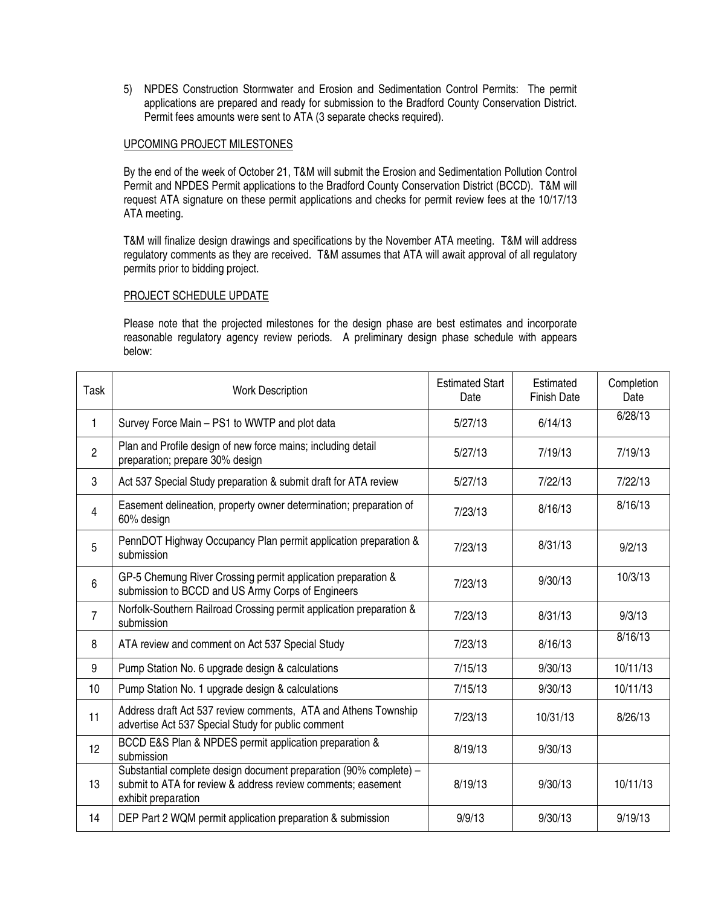5) NPDES Construction Stormwater and Erosion and Sedimentation Control Permits: The permit applications are prepared and ready for submission to the Bradford County Conservation District. Permit fees amounts were sent to ATA (3 separate checks required).

#### UPCOMING PROJECT MILESTONES

By the end of the week of October 21, T&M will submit the Erosion and Sedimentation Pollution Control Permit and NPDES Permit applications to the Bradford County Conservation District (BCCD). T&M will request ATA signature on these permit applications and checks for permit review fees at the 10/17/13 ATA meeting.

T&M will finalize design drawings and specifications by the November ATA meeting. T&M will address regulatory comments as they are received. T&M assumes that ATA will await approval of all regulatory permits prior to bidding project.

#### PROJECT SCHEDULE UPDATE

Please note that the projected milestones for the design phase are best estimates and incorporate reasonable regulatory agency review periods. A preliminary design phase schedule with appears below:

| Task             | <b>Work Description</b>                                                                                                                                  | <b>Estimated Start</b><br>Date | Estimated<br><b>Finish Date</b> | Completion<br>Date |
|------------------|----------------------------------------------------------------------------------------------------------------------------------------------------------|--------------------------------|---------------------------------|--------------------|
| 1                | Survey Force Main - PS1 to WWTP and plot data                                                                                                            | 5/27/13                        | 6/14/13                         | 6/28/13            |
| $\overline{2}$   | Plan and Profile design of new force mains; including detail<br>preparation; prepare 30% design                                                          | 5/27/13                        | 7/19/13                         | 7/19/13            |
| 3                | Act 537 Special Study preparation & submit draft for ATA review                                                                                          | 5/27/13                        | 7/22/13                         | 7/22/13            |
| 4                | Easement delineation, property owner determination; preparation of<br>60% design                                                                         | 7/23/13                        | 8/16/13                         | 8/16/13            |
| 5                | PennDOT Highway Occupancy Plan permit application preparation &<br>submission                                                                            | 7/23/13                        | 8/31/13                         | 9/2/13             |
| 6                | GP-5 Chemung River Crossing permit application preparation &<br>submission to BCCD and US Army Corps of Engineers                                        | 7/23/13                        | 9/30/13                         | 10/3/13            |
| $\overline{7}$   | Norfolk-Southern Railroad Crossing permit application preparation &<br>submission                                                                        | 7/23/13                        | 8/31/13                         | 9/3/13             |
| 8                | ATA review and comment on Act 537 Special Study                                                                                                          | 7/23/13                        | 8/16/13                         | 8/16/13            |
| 9                | Pump Station No. 6 upgrade design & calculations                                                                                                         | 7/15/13                        | 9/30/13                         | 10/11/13           |
| 10 <sup>10</sup> | Pump Station No. 1 upgrade design & calculations                                                                                                         | 7/15/13                        | 9/30/13                         | 10/11/13           |
| 11               | Address draft Act 537 review comments, ATA and Athens Township<br>advertise Act 537 Special Study for public comment                                     | 7/23/13                        | 10/31/13                        | 8/26/13            |
| 12               | BCCD E&S Plan & NPDES permit application preparation &<br>submission                                                                                     | 8/19/13                        | 9/30/13                         |                    |
| 13               | Substantial complete design document preparation (90% complete) -<br>submit to ATA for review & address review comments; easement<br>exhibit preparation | 8/19/13                        | 9/30/13                         | 10/11/13           |
| 14               | DEP Part 2 WQM permit application preparation & submission                                                                                               | 9/9/13                         | 9/30/13                         | 9/19/13            |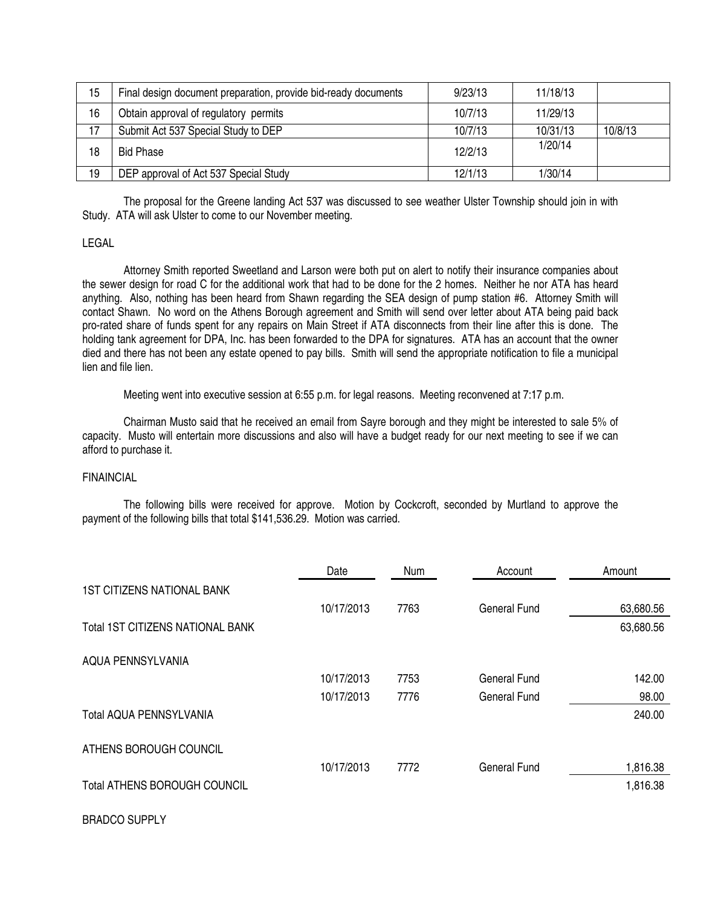| 15 | Final design document preparation, provide bid-ready documents | 9/23/13 | 11/18/13 |         |
|----|----------------------------------------------------------------|---------|----------|---------|
| 16 | Obtain approval of regulatory permits                          | 10/7/13 | 11/29/13 |         |
| 17 | Submit Act 537 Special Study to DEP                            | 10/7/13 | 10/31/13 | 10/8/13 |
| 18 | <b>Bid Phase</b>                                               | 12/2/13 | 1/20/14  |         |
| 19 | DEP approval of Act 537 Special Study                          | 12/1/13 | 1/30/14  |         |

 The proposal for the Greene landing Act 537 was discussed to see weather Ulster Township should join in with Study. ATA will ask Ulster to come to our November meeting.

#### LEGAL

 Attorney Smith reported Sweetland and Larson were both put on alert to notify their insurance companies about the sewer design for road C for the additional work that had to be done for the 2 homes. Neither he nor ATA has heard anything. Also, nothing has been heard from Shawn regarding the SEA design of pump station #6. Attorney Smith will contact Shawn. No word on the Athens Borough agreement and Smith will send over letter about ATA being paid back pro-rated share of funds spent for any repairs on Main Street if ATA disconnects from their line after this is done. The holding tank agreement for DPA, Inc. has been forwarded to the DPA for signatures. ATA has an account that the owner died and there has not been any estate opened to pay bills. Smith will send the appropriate notification to file a municipal lien and file lien.

Meeting went into executive session at 6:55 p.m. for legal reasons. Meeting reconvened at 7:17 p.m.

 Chairman Musto said that he received an email from Sayre borough and they might be interested to sale 5% of capacity. Musto will entertain more discussions and also will have a budget ready for our next meeting to see if we can afford to purchase it.

#### FINAINCIAL

The following bills were received for approve. Motion by Cockcroft, seconded by Murtland to approve the payment of the following bills that total \$141,536.29. Motion was carried.

|                                     | Date       | <b>Num</b> | Account             | Amount    |
|-------------------------------------|------------|------------|---------------------|-----------|
| <b>1ST CITIZENS NATIONAL BANK</b>   |            |            |                     |           |
|                                     | 10/17/2013 | 7763       | <b>General Fund</b> | 63,680.56 |
| Total 1ST CITIZENS NATIONAL BANK    |            |            |                     | 63,680.56 |
| AQUA PENNSYLVANIA                   |            |            |                     |           |
|                                     | 10/17/2013 | 7753       | General Fund        | 142.00    |
|                                     | 10/17/2013 | 7776       | <b>General Fund</b> | 98.00     |
| Total AQUA PENNSYLVANIA             |            |            |                     | 240.00    |
| ATHENS BOROUGH COUNCIL              |            |            |                     |           |
|                                     | 10/17/2013 | 7772       | <b>General Fund</b> | 1,816.38  |
| <b>Total ATHENS BOROUGH COUNCIL</b> |            |            |                     | 1,816.38  |

#### BRADCO SUPPLY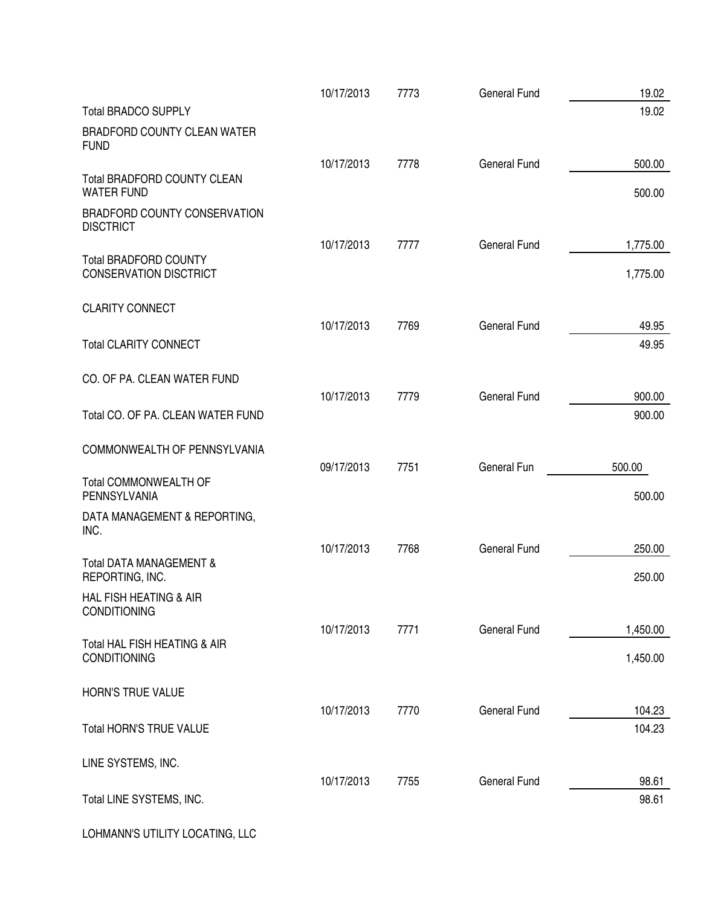|                                                               | 10/17/2013 | 7773 | <b>General Fund</b> | 19.02          |
|---------------------------------------------------------------|------------|------|---------------------|----------------|
| <b>Total BRADCO SUPPLY</b>                                    |            |      |                     | 19.02          |
| <b>BRADFORD COUNTY CLEAN WATER</b><br><b>FUND</b>             |            |      |                     |                |
|                                                               | 10/17/2013 | 7778 | <b>General Fund</b> | 500.00         |
| <b>Total BRADFORD COUNTY CLEAN</b><br><b>WATER FUND</b>       |            |      |                     | 500.00         |
| BRADFORD COUNTY CONSERVATION<br><b>DISCTRICT</b>              |            |      |                     |                |
|                                                               | 10/17/2013 | 7777 | <b>General Fund</b> | 1,775.00       |
| <b>Total BRADFORD COUNTY</b><br><b>CONSERVATION DISCTRICT</b> |            |      |                     | 1,775.00       |
| <b>CLARITY CONNECT</b>                                        |            |      |                     |                |
|                                                               | 10/17/2013 | 7769 | <b>General Fund</b> | 49.95<br>49.95 |
| <b>Total CLARITY CONNECT</b>                                  |            |      |                     |                |
| CO. OF PA. CLEAN WATER FUND                                   |            |      |                     |                |
|                                                               | 10/17/2013 | 7779 | <b>General Fund</b> | 900.00         |
| Total CO. OF PA. CLEAN WATER FUND                             |            |      |                     | 900.00         |
| COMMONWEALTH OF PENNSYLVANIA                                  |            |      |                     |                |
| <b>Total COMMONWEALTH OF</b>                                  | 09/17/2013 | 7751 | General Fun         | 500.00         |
| PENNSYLVANIA                                                  |            |      |                     | 500.00         |
| DATA MANAGEMENT & REPORTING,<br>INC.                          |            |      |                     |                |
|                                                               | 10/17/2013 | 7768 | <b>General Fund</b> | 250.00         |
| <b>Total DATA MANAGEMENT &amp;</b><br>REPORTING, INC.         |            |      |                     | 250.00         |
| HAL FISH HEATING & AIR<br><b>CONDITIONING</b>                 |            |      |                     |                |
|                                                               | 10/17/2013 | 7771 | <b>General Fund</b> | 1,450.00       |
| Total HAL FISH HEATING & AIR<br><b>CONDITIONING</b>           |            |      |                     | 1,450.00       |
| HORN'S TRUE VALUE                                             |            |      |                     |                |
|                                                               | 10/17/2013 | 7770 | <b>General Fund</b> | 104.23         |
| Total HORN'S TRUE VALUE                                       |            |      |                     | 104.23         |
| LINE SYSTEMS, INC.                                            |            |      |                     |                |
|                                                               | 10/17/2013 | 7755 | <b>General Fund</b> | 98.61          |
| Total LINE SYSTEMS, INC.                                      |            |      |                     | 98.61          |
| LOHMANN'S UTILITY LOCATING, LLC                               |            |      |                     |                |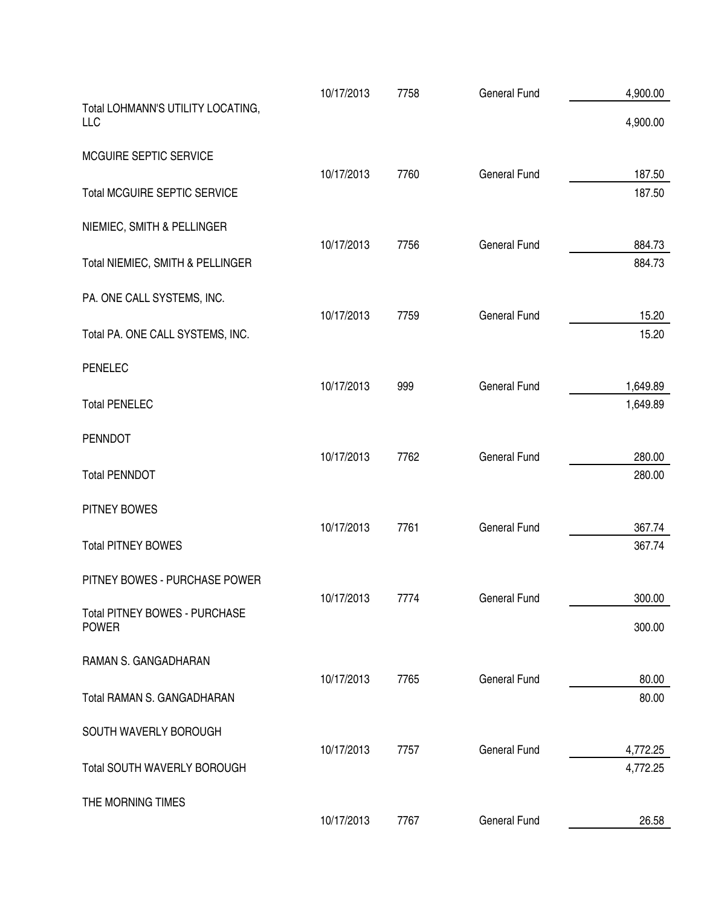|                                                      | 10/17/2013 | 7758 | <b>General Fund</b> | 4,900.00             |
|------------------------------------------------------|------------|------|---------------------|----------------------|
| Total LOHMANN'S UTILITY LOCATING,<br><b>LLC</b>      |            |      |                     | 4,900.00             |
| MCGUIRE SEPTIC SERVICE                               |            |      |                     |                      |
| <b>Total MCGUIRE SEPTIC SERVICE</b>                  | 10/17/2013 | 7760 | <b>General Fund</b> | 187.50<br>187.50     |
| NIEMIEC, SMITH & PELLINGER                           |            |      |                     |                      |
| Total NIEMIEC, SMITH & PELLINGER                     | 10/17/2013 | 7756 | <b>General Fund</b> | 884.73<br>884.73     |
| PA. ONE CALL SYSTEMS, INC.                           |            |      |                     |                      |
| Total PA. ONE CALL SYSTEMS, INC.                     | 10/17/2013 | 7759 | <b>General Fund</b> | 15.20<br>15.20       |
| <b>PENELEC</b>                                       |            |      |                     |                      |
| <b>Total PENELEC</b>                                 | 10/17/2013 | 999  | <b>General Fund</b> | 1,649.89<br>1,649.89 |
| <b>PENNDOT</b>                                       |            |      |                     |                      |
| <b>Total PENNDOT</b>                                 | 10/17/2013 | 7762 | <b>General Fund</b> | 280.00<br>280.00     |
| PITNEY BOWES                                         |            |      |                     |                      |
| <b>Total PITNEY BOWES</b>                            | 10/17/2013 | 7761 | <b>General Fund</b> | 367.74<br>367.74     |
| PITNEY BOWES - PURCHASE POWER                        |            |      |                     |                      |
| <b>Total PITNEY BOWES - PURCHASE</b><br><b>POWER</b> | 10/17/2013 | 7774 | General Fund        | 300.00<br>300.00     |
| RAMAN S. GANGADHARAN                                 |            |      |                     |                      |
| Total RAMAN S. GANGADHARAN                           | 10/17/2013 | 7765 | <b>General Fund</b> | 80.00<br>80.00       |
| SOUTH WAVERLY BOROUGH                                |            |      |                     |                      |
| Total SOUTH WAVERLY BOROUGH                          | 10/17/2013 | 7757 | <b>General Fund</b> | 4,772.25<br>4,772.25 |
| THE MORNING TIMES                                    |            |      |                     |                      |
|                                                      | 10/17/2013 | 7767 | <b>General Fund</b> | 26.58                |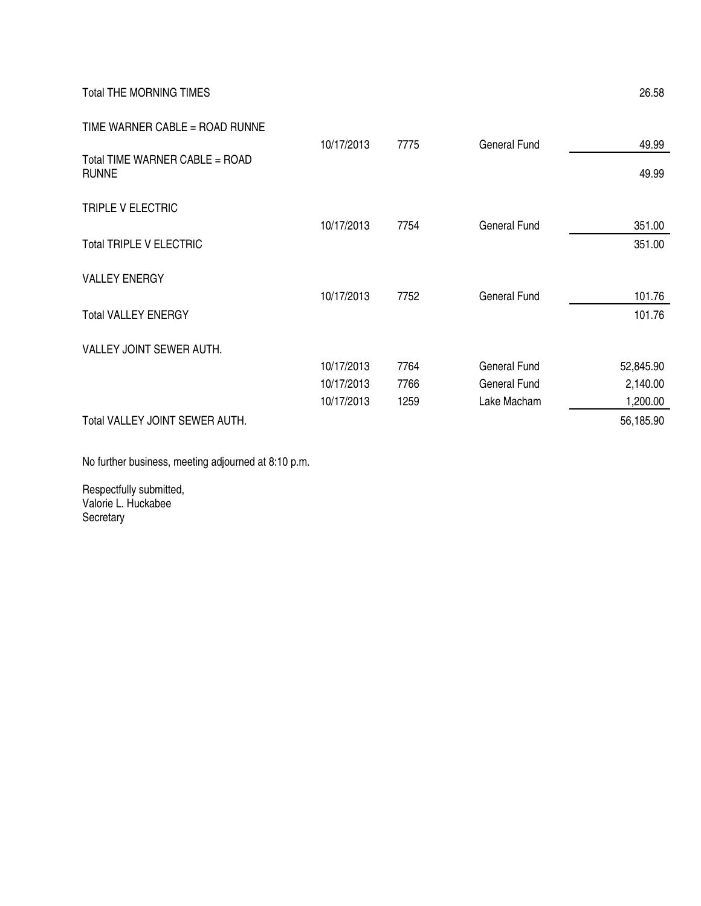Total THE MORNING TIMES 26.58

| TIME WARNER CABLE = ROAD RUNNE                 |            |      |              |           |
|------------------------------------------------|------------|------|--------------|-----------|
|                                                | 10/17/2013 | 7775 | General Fund | 49.99     |
| Total TIME WARNER CABLE = ROAD<br><b>RUNNE</b> |            |      |              | 49.99     |
| TRIPLE V ELECTRIC                              |            |      |              |           |
|                                                | 10/17/2013 | 7754 | General Fund | 351.00    |
| <b>Total TRIPLE V ELECTRIC</b>                 |            |      |              | 351.00    |
| <b>VALLEY ENERGY</b>                           |            |      |              |           |
|                                                | 10/17/2013 | 7752 | General Fund | 101.76    |
| <b>Total VALLEY ENERGY</b>                     |            |      |              | 101.76    |
| VALLEY JOINT SEWER AUTH.                       |            |      |              |           |
|                                                | 10/17/2013 | 7764 | General Fund | 52,845.90 |
|                                                | 10/17/2013 | 7766 | General Fund | 2,140.00  |
|                                                | 10/17/2013 | 1259 | Lake Macham  | 1,200.00  |
| Total VALLEY JOINT SEWER AUTH.                 |            |      |              | 56,185.90 |

No further business, meeting adjourned at 8:10 p.m.

Respectfully submitted, Valorie L. Huckabee Secretary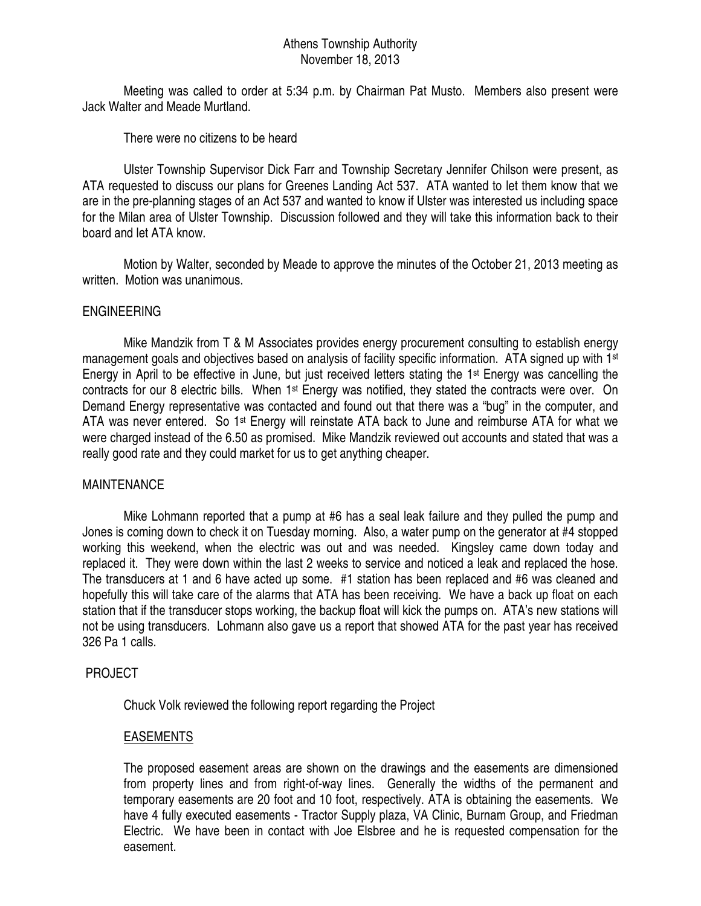# Athens Township Authority November 18, 2013

 Meeting was called to order at 5:34 p.m. by Chairman Pat Musto. Members also present were Jack Walter and Meade Murtland.

There were no citizens to be heard

 Ulster Township Supervisor Dick Farr and Township Secretary Jennifer Chilson were present, as ATA requested to discuss our plans for Greenes Landing Act 537. ATA wanted to let them know that we are in the pre-planning stages of an Act 537 and wanted to know if Ulster was interested us including space for the Milan area of Ulster Township. Discussion followed and they will take this information back to their board and let ATA know.

 Motion by Walter, seconded by Meade to approve the minutes of the October 21, 2013 meeting as written. Motion was unanimous.

# ENGINEERING

 Mike Mandzik from T & M Associates provides energy procurement consulting to establish energy management goals and objectives based on analysis of facility specific information. ATA signed up with 1<sup>st</sup> Energy in April to be effective in June, but just received letters stating the 1st Energy was cancelling the contracts for our 8 electric bills. When 1<sup>st</sup> Energy was notified, they stated the contracts were over. On Demand Energy representative was contacted and found out that there was a "bug" in the computer, and ATA was never entered. So 1<sup>st</sup> Energy will reinstate ATA back to June and reimburse ATA for what we were charged instead of the 6.50 as promised. Mike Mandzik reviewed out accounts and stated that was a really good rate and they could market for us to get anything cheaper.

## MAINTENANCE

 Mike Lohmann reported that a pump at #6 has a seal leak failure and they pulled the pump and Jones is coming down to check it on Tuesday morning. Also, a water pump on the generator at #4 stopped working this weekend, when the electric was out and was needed. Kingsley came down today and replaced it. They were down within the last 2 weeks to service and noticed a leak and replaced the hose. The transducers at 1 and 6 have acted up some. #1 station has been replaced and #6 was cleaned and hopefully this will take care of the alarms that ATA has been receiving. We have a back up float on each station that if the transducer stops working, the backup float will kick the pumps on. ATA's new stations will not be using transducers. Lohmann also gave us a report that showed ATA for the past year has received 326 Pa 1 calls.

# PROJECT

Chuck Volk reviewed the following report regarding the Project

## EASEMENTS

The proposed easement areas are shown on the drawings and the easements are dimensioned from property lines and from right-of-way lines. Generally the widths of the permanent and temporary easements are 20 foot and 10 foot, respectively. ATA is obtaining the easements. We have 4 fully executed easements - Tractor Supply plaza, VA Clinic, Burnam Group, and Friedman Electric. We have been in contact with Joe Elsbree and he is requested compensation for the easement.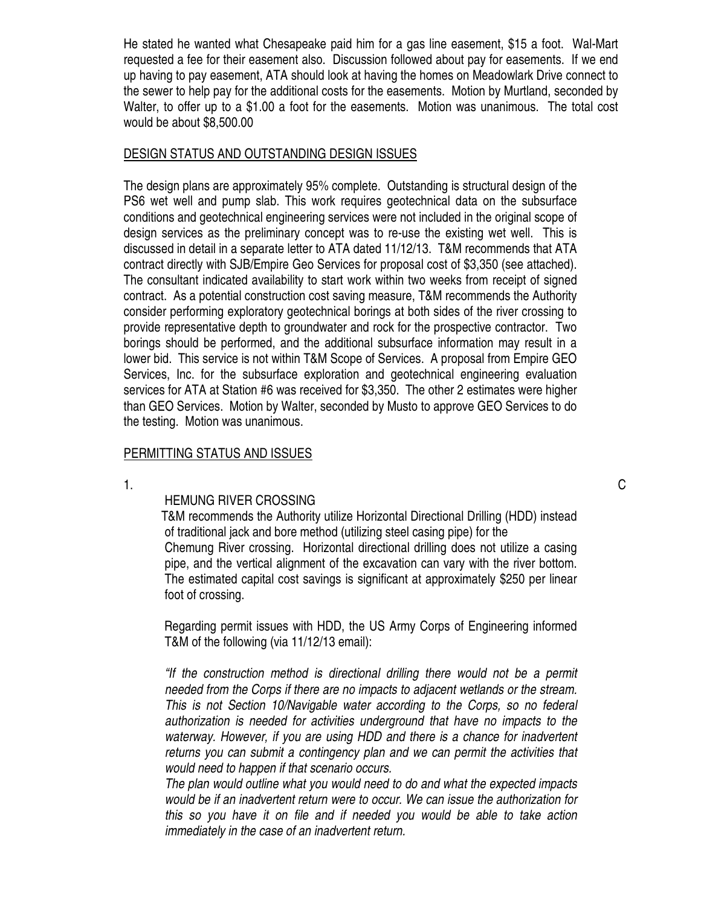He stated he wanted what Chesapeake paid him for a gas line easement, \$15 a foot. Wal-Mart requested a fee for their easement also. Discussion followed about pay for easements. If we end up having to pay easement, ATA should look at having the homes on Meadowlark Drive connect to the sewer to help pay for the additional costs for the easements. Motion by Murtland, seconded by Walter, to offer up to a \$1.00 a foot for the easements. Motion was unanimous. The total cost would be about \$8,500.00

#### DESIGN STATUS AND OUTSTANDING DESIGN ISSUES

The design plans are approximately 95% complete. Outstanding is structural design of the PS6 wet well and pump slab. This work requires geotechnical data on the subsurface conditions and geotechnical engineering services were not included in the original scope of design services as the preliminary concept was to re-use the existing wet well. This is discussed in detail in a separate letter to ATA dated 11/12/13. T&M recommends that ATA contract directly with SJB/Empire Geo Services for proposal cost of \$3,350 (see attached). The consultant indicated availability to start work within two weeks from receipt of signed contract. As a potential construction cost saving measure, T&M recommends the Authority consider performing exploratory geotechnical borings at both sides of the river crossing to provide representative depth to groundwater and rock for the prospective contractor. Two borings should be performed, and the additional subsurface information may result in a lower bid. This service is not within T&M Scope of Services. A proposal from Empire GEO Services, Inc. for the subsurface exploration and geotechnical engineering evaluation services for ATA at Station #6 was received for \$3,350. The other 2 estimates were higher than GEO Services. Motion by Walter, seconded by Musto to approve GEO Services to do the testing. Motion was unanimous.

## PERMITTING STATUS AND ISSUES

## HEMUNG RIVER CROSSING

 T&M recommends the Authority utilize Horizontal Directional Drilling (HDD) instead of traditional jack and bore method (utilizing steel casing pipe) for the Chemung River crossing. Horizontal directional drilling does not utilize a casing pipe, and the vertical alignment of the excavation can vary with the river bottom. The estimated capital cost savings is significant at approximately \$250 per linear foot of crossing.

 Regarding permit issues with HDD, the US Army Corps of Engineering informed T&M of the following (via 11/12/13 email):

*"If the construction method is directional drilling there would not be a permit needed from the Corps if there are no impacts to adjacent wetlands or the stream. This is not Section 10/Navigable water according to the Corps, so no federal authorization is needed for activities underground that have no impacts to the*  waterway. However, if you are using HDD and there is a chance for inadvertent *returns you can submit a contingency plan and we can permit the activities that would need to happen if that scenario occurs.* 

*The plan would outline what you would need to do and what the expected impacts would be if an inadvertent return were to occur. We can issue the authorization for this so you have it on file and if needed you would be able to take action immediately in the case of an inadvertent return.*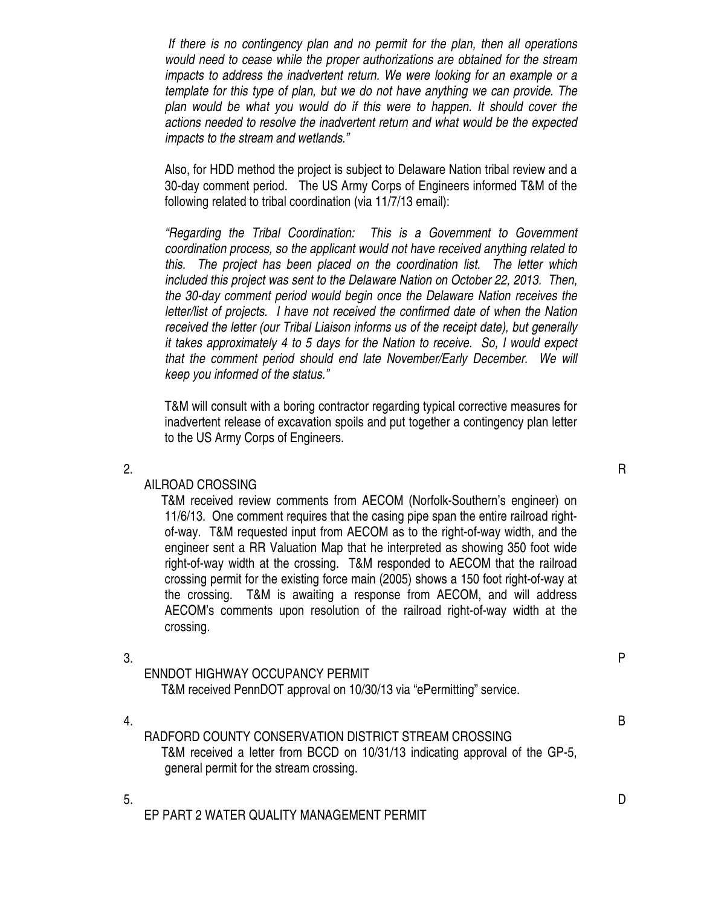*If there is no contingency plan and no permit for the plan, then all operations would need to cease while the proper authorizations are obtained for the stream impacts to address the inadvertent return. We were looking for an example or a template for this type of plan, but we do not have anything we can provide. The plan would be what you would do if this were to happen. It should cover the actions needed to resolve the inadvertent return and what would be the expected impacts to the stream and wetlands."* 

Also, for HDD method the project is subject to Delaware Nation tribal review and a 30-day comment period. The US Army Corps of Engineers informed T&M of the following related to tribal coordination (via 11/7/13 email):

*"Regarding the Tribal Coordination: This is a Government to Government coordination process, so the applicant would not have received anything related to this. The project has been placed on the coordination list. The letter which included this project was sent to the Delaware Nation on October 22, 2013. Then, the 30-day comment period would begin once the Delaware Nation receives the letter/list of projects. I have not received the confirmed date of when the Nation received the letter (our Tribal Liaison informs us of the receipt date), but generally it takes approximately 4 to 5 days for the Nation to receive. So, I would expect that the comment period should end late November/Early December. We will keep you informed of the status."* 

T&M will consult with a boring contractor regarding typical corrective measures for inadvertent release of excavation spoils and put together a contingency plan letter to the US Army Corps of Engineers.

## AILROAD CROSSING

 T&M received review comments from AECOM (Norfolk-Southern's engineer) on 11/6/13. One comment requires that the casing pipe span the entire railroad rightof-way. T&M requested input from AECOM as to the right-of-way width, and the engineer sent a RR Valuation Map that he interpreted as showing 350 foot wide right-of-way width at the crossing. T&M responded to AECOM that the railroad crossing permit for the existing force main (2005) shows a 150 foot right-of-way at the crossing. T&M is awaiting a response from AECOM, and will address AECOM's comments upon resolution of the railroad right-of-way width at the crossing.

 $3.$ ENNDOT HIGHWAY OCCUPANCY PERMIT T&M received PennDOT approval on 10/30/13 via "ePermitting" service. 4. B RADFORD COUNTY CONSERVATION DISTRICT STREAM CROSSING

 T&M received a letter from BCCD on 10/31/13 indicating approval of the GP-5, general permit for the stream crossing.

EP PART 2 WATER QUALITY MANAGEMENT PERMIT

2.  $R$ 

5. D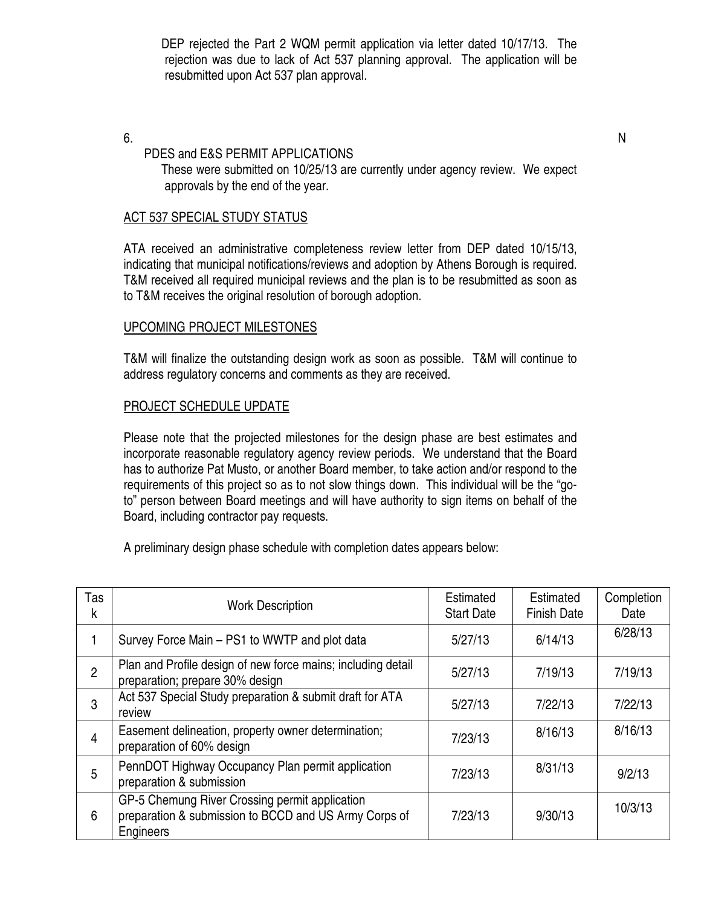DEP rejected the Part 2 WQM permit application via letter dated 10/17/13. The rejection was due to lack of Act 537 planning approval. The application will be resubmitted upon Act 537 plan approval.

#### $6.$ PDES and E&S PERMIT APPLICATIONS

 These were submitted on 10/25/13 are currently under agency review. We expect approvals by the end of the year.

# ACT 537 SPECIAL STUDY STATUS

ATA received an administrative completeness review letter from DEP dated 10/15/13, indicating that municipal notifications/reviews and adoption by Athens Borough is required. T&M received all required municipal reviews and the plan is to be resubmitted as soon as to T&M receives the original resolution of borough adoption.

## UPCOMING PROJECT MILESTONES

T&M will finalize the outstanding design work as soon as possible. T&M will continue to address regulatory concerns and comments as they are received.

## PROJECT SCHEDULE UPDATE

Please note that the projected milestones for the design phase are best estimates and incorporate reasonable regulatory agency review periods. We understand that the Board has to authorize Pat Musto, or another Board member, to take action and/or respond to the requirements of this project so as to not slow things down. This individual will be the "goto" person between Board meetings and will have authority to sign items on behalf of the Board, including contractor pay requests.

A preliminary design phase schedule with completion dates appears below:

| Tas<br>k       | <b>Work Description</b>                                                                                              | Estimated<br><b>Start Date</b> | Estimated<br><b>Finish Date</b> | Completion<br>Date |
|----------------|----------------------------------------------------------------------------------------------------------------------|--------------------------------|---------------------------------|--------------------|
|                | Survey Force Main - PS1 to WWTP and plot data                                                                        | 5/27/13                        | 6/14/13                         | 6/28/13            |
| $\overline{2}$ | Plan and Profile design of new force mains; including detail<br>preparation; prepare 30% design                      | 5/27/13                        | 7/19/13                         | 7/19/13            |
| 3              | Act 537 Special Study preparation & submit draft for ATA<br>review                                                   | 5/27/13                        | 7/22/13                         | 7/22/13            |
| 4              | Easement delineation, property owner determination;<br>preparation of 60% design                                     | 7/23/13                        | 8/16/13                         | 8/16/13            |
| 5              | PennDOT Highway Occupancy Plan permit application<br>preparation & submission                                        | 7/23/13                        | 8/31/13                         | 9/2/13             |
| 6              | GP-5 Chemung River Crossing permit application<br>preparation & submission to BCCD and US Army Corps of<br>Engineers | 7/23/13                        | 9/30/13                         | 10/3/13            |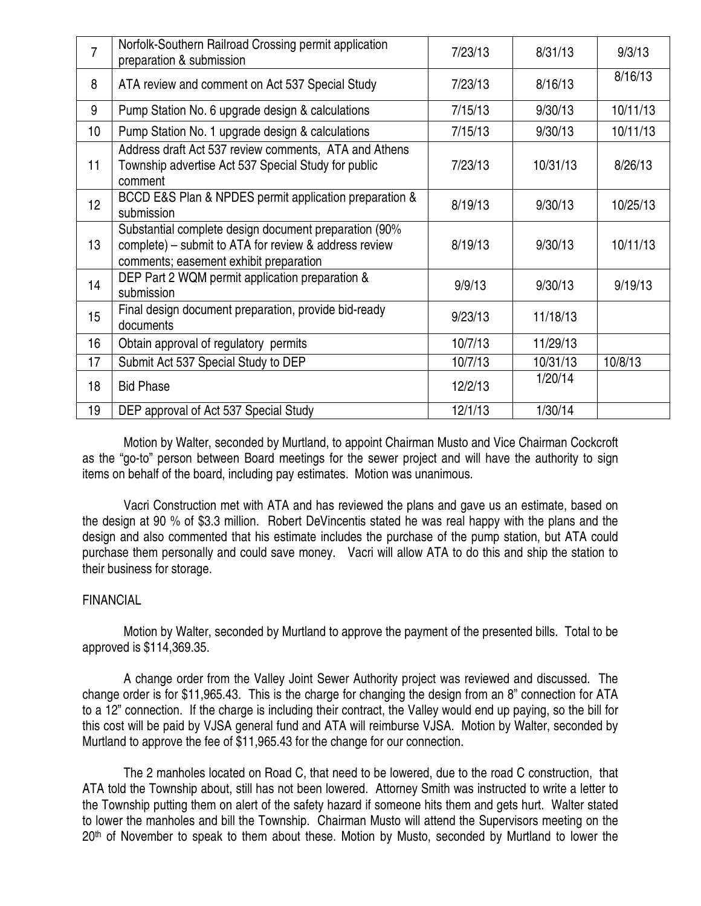| $\overline{7}$  | Norfolk-Southern Railroad Crossing permit application<br>preparation & submission                                                                        | 7/23/13 | 8/31/13  | 9/3/13   |
|-----------------|----------------------------------------------------------------------------------------------------------------------------------------------------------|---------|----------|----------|
| 8               | ATA review and comment on Act 537 Special Study                                                                                                          | 7/23/13 | 8/16/13  | 8/16/13  |
| 9               | Pump Station No. 6 upgrade design & calculations                                                                                                         | 7/15/13 | 9/30/13  | 10/11/13 |
| 10              | Pump Station No. 1 upgrade design & calculations                                                                                                         | 7/15/13 | 9/30/13  | 10/11/13 |
| 11              | Address draft Act 537 review comments, ATA and Athens<br>Township advertise Act 537 Special Study for public<br>comment                                  | 7/23/13 | 10/31/13 | 8/26/13  |
| 12 <sup>°</sup> | BCCD E&S Plan & NPDES permit application preparation &<br>submission                                                                                     | 8/19/13 | 9/30/13  | 10/25/13 |
| 13              | Substantial complete design document preparation (90%<br>complete) – submit to ATA for review & address review<br>comments; easement exhibit preparation | 8/19/13 | 9/30/13  | 10/11/13 |
| 14              | DEP Part 2 WQM permit application preparation &<br>submission                                                                                            | 9/9/13  | 9/30/13  | 9/19/13  |
| 15              | Final design document preparation, provide bid-ready<br>documents                                                                                        | 9/23/13 | 11/18/13 |          |
| 16              | Obtain approval of regulatory permits                                                                                                                    | 10/7/13 | 11/29/13 |          |
| 17              | Submit Act 537 Special Study to DEP                                                                                                                      | 10/7/13 | 10/31/13 | 10/8/13  |
| 18              | <b>Bid Phase</b>                                                                                                                                         | 12/2/13 | 1/20/14  |          |
| 19              | DEP approval of Act 537 Special Study                                                                                                                    | 12/1/13 | 1/30/14  |          |

Motion by Walter, seconded by Murtland, to appoint Chairman Musto and Vice Chairman Cockcroft as the "go-to" person between Board meetings for the sewer project and will have the authority to sign items on behalf of the board, including pay estimates. Motion was unanimous.

 Vacri Construction met with ATA and has reviewed the plans and gave us an estimate, based on the design at 90 % of \$3.3 million. Robert DeVincentis stated he was real happy with the plans and the design and also commented that his estimate includes the purchase of the pump station, but ATA could purchase them personally and could save money. Vacri will allow ATA to do this and ship the station to their business for storage.

## FINANCIAL

 Motion by Walter, seconded by Murtland to approve the payment of the presented bills. Total to be approved is \$114,369.35.

A change order from the Valley Joint Sewer Authority project was reviewed and discussed. The change order is for \$11,965.43. This is the charge for changing the design from an 8" connection for ATA to a 12" connection. If the charge is including their contract, the Valley would end up paying, so the bill for this cost will be paid by VJSA general fund and ATA will reimburse VJSA. Motion by Walter, seconded by Murtland to approve the fee of \$11,965.43 for the change for our connection.

 The 2 manholes located on Road C, that need to be lowered, due to the road C construction, that ATA told the Township about, still has not been lowered. Attorney Smith was instructed to write a letter to the Township putting them on alert of the safety hazard if someone hits them and gets hurt. Walter stated to lower the manholes and bill the Township. Chairman Musto will attend the Supervisors meeting on the 20<sup>th</sup> of November to speak to them about these. Motion by Musto, seconded by Murtland to lower the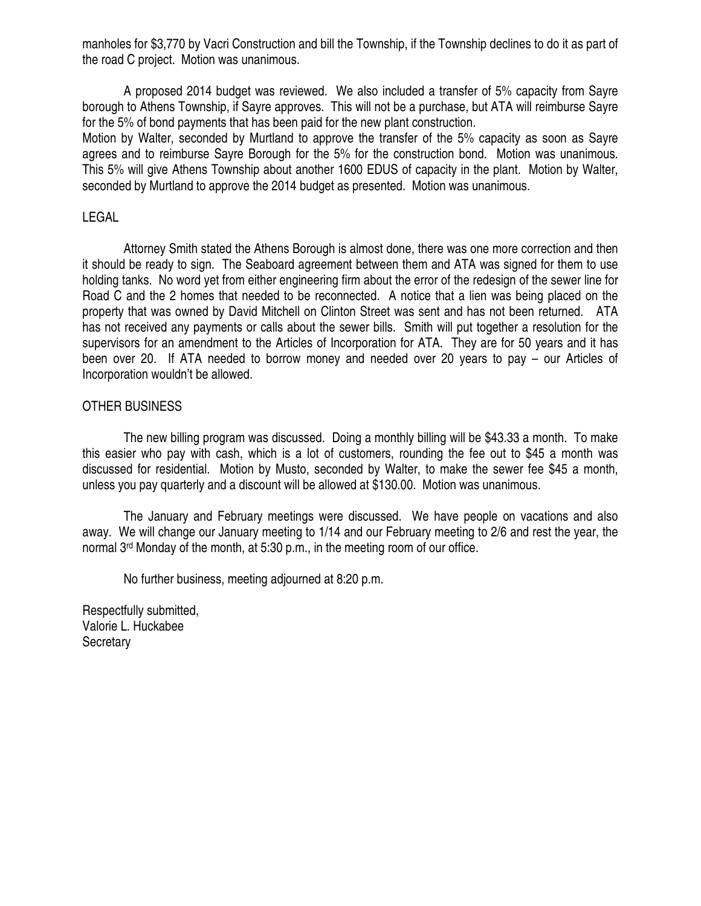manholes for \$3,770 by Vacri Construction and bill the Township, if the Township declines to do it as part of the road C project. Motion was unanimous.

 A proposed 2014 budget was reviewed. We also included a transfer of 5% capacity from Sayre borough to Athens Township, if Sayre approves. This will not be a purchase, but ATA will reimburse Sayre for the 5% of bond payments that has been paid for the new plant construction.

Motion by Walter, seconded by Murtland to approve the transfer of the 5% capacity as soon as Sayre agrees and to reimburse Sayre Borough for the 5% for the construction bond. Motion was unanimous. This 5% will give Athens Township about another 1600 EDUS of capacity in the plant. Motion by Walter, seconded by Murtland to approve the 2014 budget as presented. Motion was unanimous.

# LEGAL

 Attorney Smith stated the Athens Borough is almost done, there was one more correction and then it should be ready to sign. The Seaboard agreement between them and ATA was signed for them to use holding tanks. No word yet from either engineering firm about the error of the redesign of the sewer line for Road C and the 2 homes that needed to be reconnected. A notice that a lien was being placed on the property that was owned by David Mitchell on Clinton Street was sent and has not been returned. ATA has not received any payments or calls about the sewer bills. Smith will put together a resolution for the supervisors for an amendment to the Articles of Incorporation for ATA. They are for 50 years and it has been over 20. If ATA needed to borrow money and needed over 20 years to pay – our Articles of Incorporation wouldn't be allowed.

## OTHER BUSINESS

 The new billing program was discussed. Doing a monthly billing will be \$43.33 a month. To make this easier who pay with cash, which is a lot of customers, rounding the fee out to \$45 a month was discussed for residential. Motion by Musto, seconded by Walter, to make the sewer fee \$45 a month, unless you pay quarterly and a discount will be allowed at \$130.00. Motion was unanimous.

 The January and February meetings were discussed. We have people on vacations and also away. We will change our January meeting to 1/14 and our February meeting to 2/6 and rest the year, the normal 3rd Monday of the month, at 5:30 p.m., in the meeting room of our office.

No further business, meeting adjourned at 8:20 p.m.

Respectfully submitted, Valorie L. Huckabee **Secretary**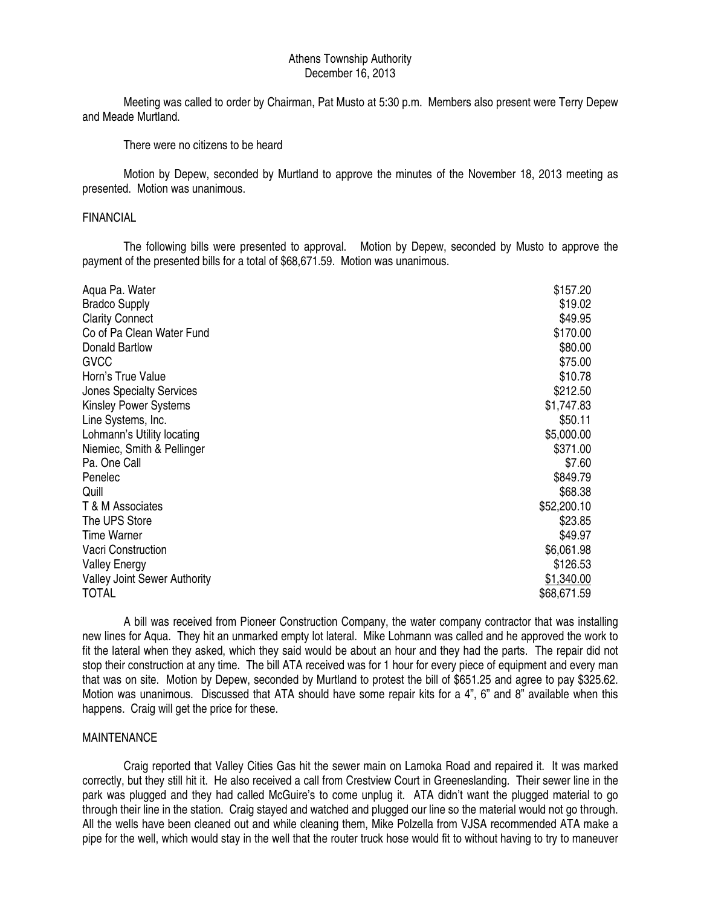#### Athens Township Authority December 16, 2013

 Meeting was called to order by Chairman, Pat Musto at 5:30 p.m. Members also present were Terry Depew and Meade Murtland.

There were no citizens to be heard

 Motion by Depew, seconded by Murtland to approve the minutes of the November 18, 2013 meeting as presented. Motion was unanimous.

#### FINANCIAL

 The following bills were presented to approval. Motion by Depew, seconded by Musto to approve the payment of the presented bills for a total of \$68,671.59. Motion was unanimous.

| Aqua Pa. Water                      | \$157.20    |
|-------------------------------------|-------------|
| <b>Bradco Supply</b>                | \$19.02     |
| <b>Clarity Connect</b>              | \$49.95     |
| Co of Pa Clean Water Fund           | \$170.00    |
| <b>Donald Bartlow</b>               | \$80.00     |
|                                     |             |
| <b>GVCC</b>                         | \$75.00     |
| Horn's True Value                   | \$10.78     |
| <b>Jones Specialty Services</b>     | \$212.50    |
| <b>Kinsley Power Systems</b>        | \$1,747.83  |
| Line Systems, Inc.                  | \$50.11     |
| Lohmann's Utility locating          | \$5,000.00  |
| Niemiec, Smith & Pellinger          | \$371.00    |
| Pa. One Call                        | \$7.60      |
| Penelec                             | \$849.79    |
| Quill                               | \$68.38     |
| T & M Associates                    | \$52,200.10 |
| The UPS Store                       | \$23.85     |
| <b>Time Warner</b>                  | \$49.97     |
| Vacri Construction                  | \$6,061.98  |
| <b>Valley Energy</b>                | \$126.53    |
| <b>Valley Joint Sewer Authority</b> | \$1,340.00  |
| <b>TOTAL</b>                        | \$68,671.59 |
|                                     |             |

 A bill was received from Pioneer Construction Company, the water company contractor that was installing new lines for Aqua. They hit an unmarked empty lot lateral. Mike Lohmann was called and he approved the work to fit the lateral when they asked, which they said would be about an hour and they had the parts. The repair did not stop their construction at any time. The bill ATA received was for 1 hour for every piece of equipment and every man that was on site. Motion by Depew, seconded by Murtland to protest the bill of \$651.25 and agree to pay \$325.62. Motion was unanimous. Discussed that ATA should have some repair kits for a 4", 6" and 8" available when this happens. Craig will get the price for these.

#### MAINTENANCE

 Craig reported that Valley Cities Gas hit the sewer main on Lamoka Road and repaired it. It was marked correctly, but they still hit it. He also received a call from Crestview Court in Greeneslanding. Their sewer line in the park was plugged and they had called McGuire's to come unplug it. ATA didn't want the plugged material to go through their line in the station. Craig stayed and watched and plugged our line so the material would not go through. All the wells have been cleaned out and while cleaning them, Mike Polzella from VJSA recommended ATA make a pipe for the well, which would stay in the well that the router truck hose would fit to without having to try to maneuver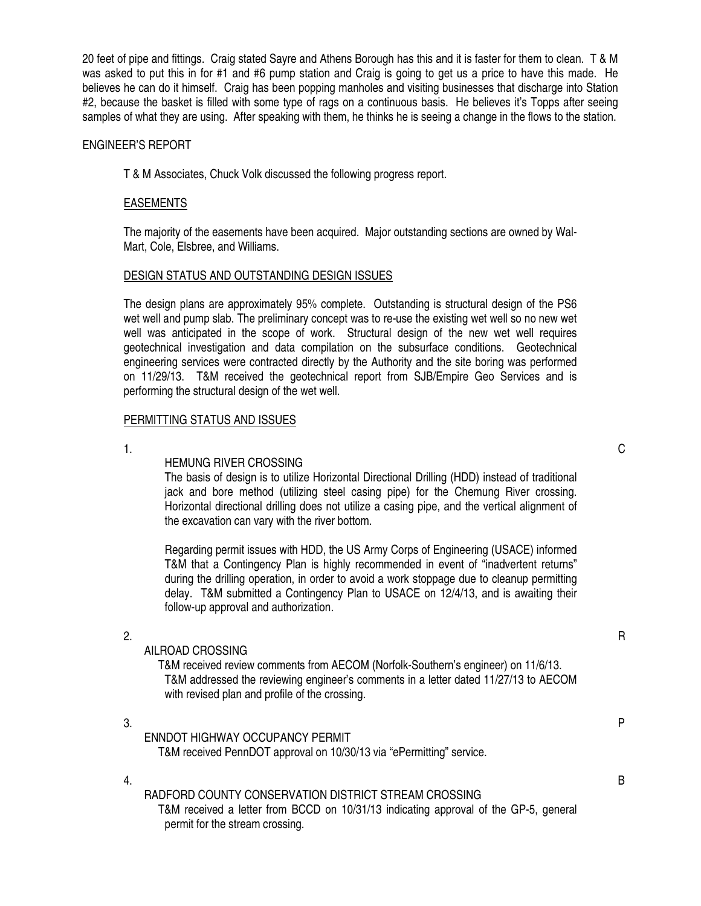20 feet of pipe and fittings. Craig stated Sayre and Athens Borough has this and it is faster for them to clean. T & M was asked to put this in for #1 and #6 pump station and Craig is going to get us a price to have this made. He believes he can do it himself. Craig has been popping manholes and visiting businesses that discharge into Station #2, because the basket is filled with some type of rags on a continuous basis. He believes it's Topps after seeing samples of what they are using. After speaking with them, he thinks he is seeing a change in the flows to the station.

#### ENGINEER'S REPORT

T & M Associates, Chuck Volk discussed the following progress report.

#### EASEMENTS

The majority of the easements have been acquired. Major outstanding sections are owned by Wal-Mart, Cole, Elsbree, and Williams.

#### DESIGN STATUS AND OUTSTANDING DESIGN ISSUES

The design plans are approximately 95% complete. Outstanding is structural design of the PS6 wet well and pump slab. The preliminary concept was to re-use the existing wet well so no new wet well was anticipated in the scope of work. Structural design of the new wet well requires geotechnical investigation and data compilation on the subsurface conditions. Geotechnical engineering services were contracted directly by the Authority and the site boring was performed on 11/29/13. T&M received the geotechnical report from SJB/Empire Geo Services and is performing the structural design of the wet well.

#### PERMITTING STATUS AND ISSUES

#### HEMUNG RIVER CROSSING

The basis of design is to utilize Horizontal Directional Drilling (HDD) instead of traditional jack and bore method (utilizing steel casing pipe) for the Chemung River crossing. Horizontal directional drilling does not utilize a casing pipe, and the vertical alignment of the excavation can vary with the river bottom.

 Regarding permit issues with HDD, the US Army Corps of Engineering (USACE) informed T&M that a Contingency Plan is highly recommended in event of "inadvertent returns" during the drilling operation, in order to avoid a work stoppage due to cleanup permitting delay. T&M submitted a Contingency Plan to USACE on 12/4/13, and is awaiting their follow-up approval and authorization.

#### AILROAD CROSSING

 T&M received review comments from AECOM (Norfolk-Southern's engineer) on 11/6/13. T&M addressed the reviewing engineer's comments in a letter dated 11/27/13 to AECOM with revised plan and profile of the crossing.

 $3.$ ENNDOT HIGHWAY OCCUPANCY PERMIT T&M received PennDOT approval on 10/30/13 via "ePermitting" service.

#### RADFORD COUNTY CONSERVATION DISTRICT STREAM CROSSING

 T&M received a letter from BCCD on 10/31/13 indicating approval of the GP-5, general permit for the stream crossing.

 $1.$  C

2.  $R$ 

4. B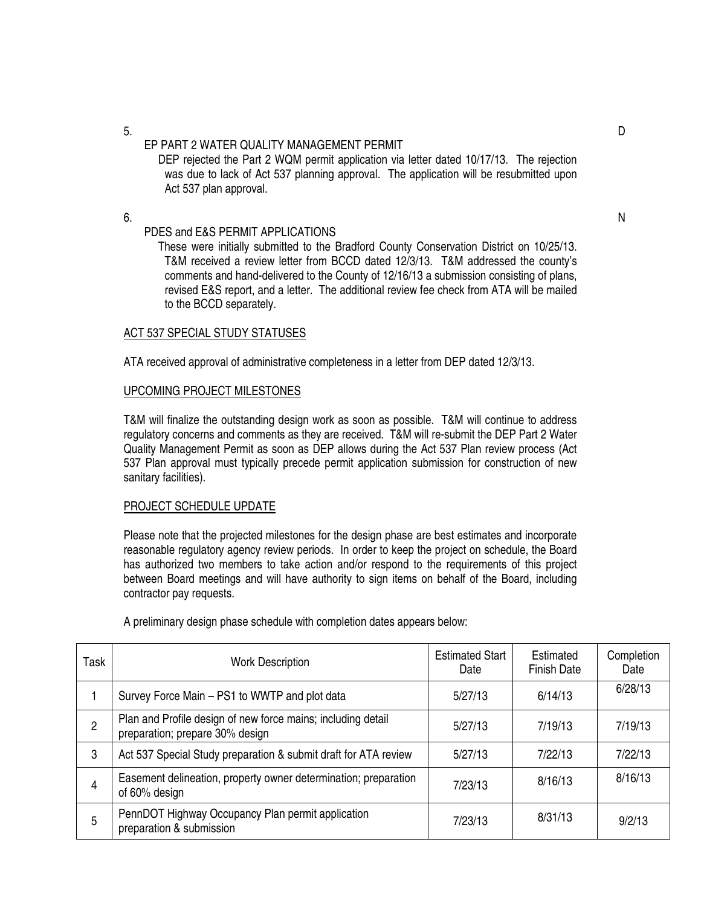5. D

## EP PART 2 WATER QUALITY MANAGEMENT PERMIT

DEP rejected the Part 2 WQM permit application via letter dated 10/17/13. The rejection was due to lack of Act 537 planning approval. The application will be resubmitted upon Act 537 plan approval.

 $6.$ 

#### PDES and E&S PERMIT APPLICATIONS

 These were initially submitted to the Bradford County Conservation District on 10/25/13. T&M received a review letter from BCCD dated 12/3/13. T&M addressed the county's comments and hand-delivered to the County of 12/16/13 a submission consisting of plans, revised E&S report, and a letter. The additional review fee check from ATA will be mailed to the BCCD separately.

#### ACT 537 SPECIAL STUDY STATUSES

ATA received approval of administrative completeness in a letter from DEP dated 12/3/13.

#### UPCOMING PROJECT MILESTONES

T&M will finalize the outstanding design work as soon as possible. T&M will continue to address regulatory concerns and comments as they are received. T&M will re-submit the DEP Part 2 Water Quality Management Permit as soon as DEP allows during the Act 537 Plan review process (Act 537 Plan approval must typically precede permit application submission for construction of new sanitary facilities).

#### PROJECT SCHEDULE UPDATE

Please note that the projected milestones for the design phase are best estimates and incorporate reasonable regulatory agency review periods. In order to keep the project on schedule, the Board has authorized two members to take action and/or respond to the requirements of this project between Board meetings and will have authority to sign items on behalf of the Board, including contractor pay requests.

| Task | <b>Work Description</b>                                                                         | <b>Estimated Start</b><br>Date | Estimated<br><b>Finish Date</b> | Completion<br>Date |
|------|-------------------------------------------------------------------------------------------------|--------------------------------|---------------------------------|--------------------|
|      | Survey Force Main - PS1 to WWTP and plot data                                                   | 5/27/13                        | 6/14/13                         | 6/28/13            |
| 2    | Plan and Profile design of new force mains; including detail<br>preparation; prepare 30% design | 5/27/13                        | 7/19/13                         | 7/19/13            |
| 3    | Act 537 Special Study preparation & submit draft for ATA review                                 | 5/27/13                        | 7/22/13                         | 7/22/13            |
| 4    | Easement delineation, property owner determination; preparation<br>of 60% design                | 7/23/13                        | 8/16/13                         | 8/16/13            |
| 5    | PennDOT Highway Occupancy Plan permit application<br>preparation & submission                   | 7/23/13                        | 8/31/13                         | 9/2/13             |

A preliminary design phase schedule with completion dates appears below: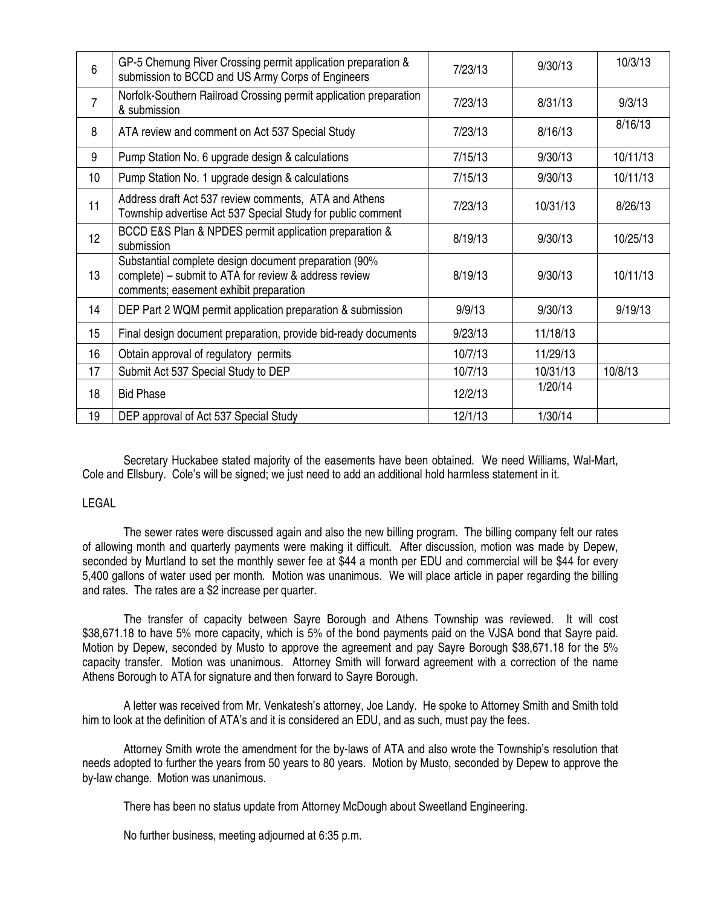| $6\phantom{1}6$ | GP-5 Chemung River Crossing permit application preparation &<br>submission to BCCD and US Army Corps of Engineers                                        | 7/23/13 | 9/30/13  | 10/3/13  |
|-----------------|----------------------------------------------------------------------------------------------------------------------------------------------------------|---------|----------|----------|
| $\overline{7}$  | Norfolk-Southern Railroad Crossing permit application preparation<br>& submission                                                                        | 7/23/13 | 8/31/13  | 9/3/13   |
| 8               | ATA review and comment on Act 537 Special Study                                                                                                          | 7/23/13 | 8/16/13  | 8/16/13  |
| 9               | Pump Station No. 6 upgrade design & calculations                                                                                                         | 7/15/13 | 9/30/13  | 10/11/13 |
| 10 <sup>°</sup> | Pump Station No. 1 upgrade design & calculations                                                                                                         | 7/15/13 | 9/30/13  | 10/11/13 |
| 11              | Address draft Act 537 review comments, ATA and Athens<br>Township advertise Act 537 Special Study for public comment                                     | 7/23/13 | 10/31/13 | 8/26/13  |
| 12 <sup>°</sup> | BCCD E&S Plan & NPDES permit application preparation &<br>submission                                                                                     | 8/19/13 | 9/30/13  | 10/25/13 |
| 13              | Substantial complete design document preparation (90%<br>complete) – submit to ATA for review & address review<br>comments; easement exhibit preparation | 8/19/13 | 9/30/13  | 10/11/13 |
| 14              | DEP Part 2 WQM permit application preparation & submission                                                                                               | 9/9/13  | 9/30/13  | 9/19/13  |
| 15              | Final design document preparation, provide bid-ready documents                                                                                           | 9/23/13 | 11/18/13 |          |
| 16              | Obtain approval of regulatory permits                                                                                                                    | 10/7/13 | 11/29/13 |          |
| 17              | Submit Act 537 Special Study to DEP                                                                                                                      | 10/7/13 | 10/31/13 | 10/8/13  |
| 18              | <b>Bid Phase</b>                                                                                                                                         | 12/2/13 | 1/20/14  |          |
| 19              | DEP approval of Act 537 Special Study                                                                                                                    | 12/1/13 | 1/30/14  |          |

 Secretary Huckabee stated majority of the easements have been obtained. We need Williams, Wal-Mart, Cole and Ellsbury. Cole's will be signed; we just need to add an additional hold harmless statement in it.

#### LEGAL

 The sewer rates were discussed again and also the new billing program. The billing company felt our rates of allowing month and quarterly payments were making it difficult. After discussion, motion was made by Depew, seconded by Murtland to set the monthly sewer fee at \$44 a month per EDU and commercial will be \$44 for every 5,400 gallons of water used per month. Motion was unanimous. We will place article in paper regarding the billing and rates. The rates are a \$2 increase per quarter.

 The transfer of capacity between Sayre Borough and Athens Township was reviewed. It will cost \$38,671.18 to have 5% more capacity, which is 5% of the bond payments paid on the VJSA bond that Sayre paid. Motion by Depew, seconded by Musto to approve the agreement and pay Sayre Borough \$38,671.18 for the 5% capacity transfer. Motion was unanimous. Attorney Smith will forward agreement with a correction of the name Athens Borough to ATA for signature and then forward to Sayre Borough.

 A letter was received from Mr. Venkatesh's attorney, Joe Landy. He spoke to Attorney Smith and Smith told him to look at the definition of ATA's and it is considered an EDU, and as such, must pay the fees.

 Attorney Smith wrote the amendment for the by-laws of ATA and also wrote the Township's resolution that needs adopted to further the years from 50 years to 80 years. Motion by Musto, seconded by Depew to approve the by-law change. Motion was unanimous.

There has been no status update from Attorney McDough about Sweetland Engineering.

No further business, meeting adjourned at 6:35 p.m.